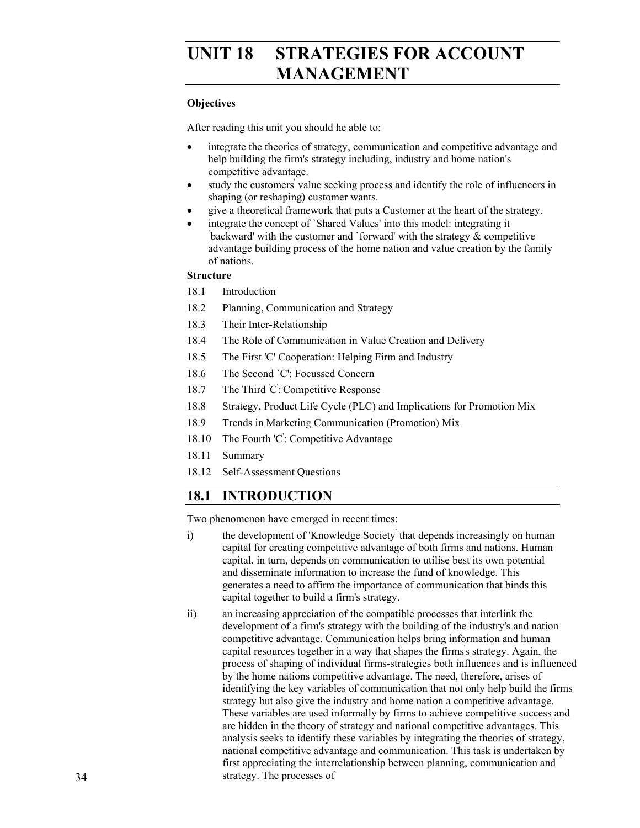# UNIT 18 STRATEGIES FOR ACCOUNT **MANAGEMENT**

# **Objectives**

After reading this unit you should he able to:

- integrate the theories of strategy, communication and competitive advantage and help building the firm's strategy including, industry and home nation's competitive advantage.
- study the customers' value seeking process and identify the role of influencers in shaping (or reshaping) customer wants.
- give a theoretical framework that puts a Customer at the heart of the strategy.
- integrate the concept of `Shared Values' into this model: integrating it backward' with the customer and `forward' with the strategy  $\&$  competitive advantage building process of the home nation and value creation by the family of nations.

# **Structure**

- 18.1 Introduction
- 18.2 Planning, Communication and Strategy
- 18.3 Their Inter-Relationship
- 18.4 The Role of Communication in Value Creation and Delivery
- 18.5 The First 'C' Cooperation: Helping Firm and Industry
- 18.6 The Second `C': Focussed Concern
- 18.7 The Third C: Competitive Response
- 18.8 Strategy, Product Life Cycle (PLC) and Implications for Promotion Mix
- 18.9 Trends in Marketing Communication (Promotion) Mix
- 18.10 The Fourth 'C' : Competitive Advantage
- 18.11 Summary
- 18.12 Self-Assessment Questions

# **18.1 INTRODUCTION**

Two phenomenon have emerged in recent times:

- i) the development of 'Knowledge Society' that depends increasingly on human capital for creating competitive advantage of both firms and nations. Human capital, in turn, depends on communication to utilise best its own potential and disseminate information to increase the fund of knowledge. This generates a need to affirm the importance of communication that binds this capital together to build a firm's strategy.
- ii) an increasing appreciation of the compatible processes that interlink the development of a firm's strategy with the building of the industry's and nation competitive advantage. Communication helps bring information and human capital resources together in a way that shapes the firms' s strategy. Again, the process of shaping of individual firms-strategies both influences and is influenced by the home nations competitive advantage. The need, therefore, arises of identifying the key variables of communication that not only help build the firms strategy but also give the industry and home nation a competitive advantage. These variables are used informally by firms to achieve competitive success and are hidden in the theory of strategy and national competitive advantages. This analysis seeks to identify these variables by integrating the theories of strategy, national competitive advantage and communication. This task is undertaken by first appreciating the interrelationship between planning, communication and strategy. The processes of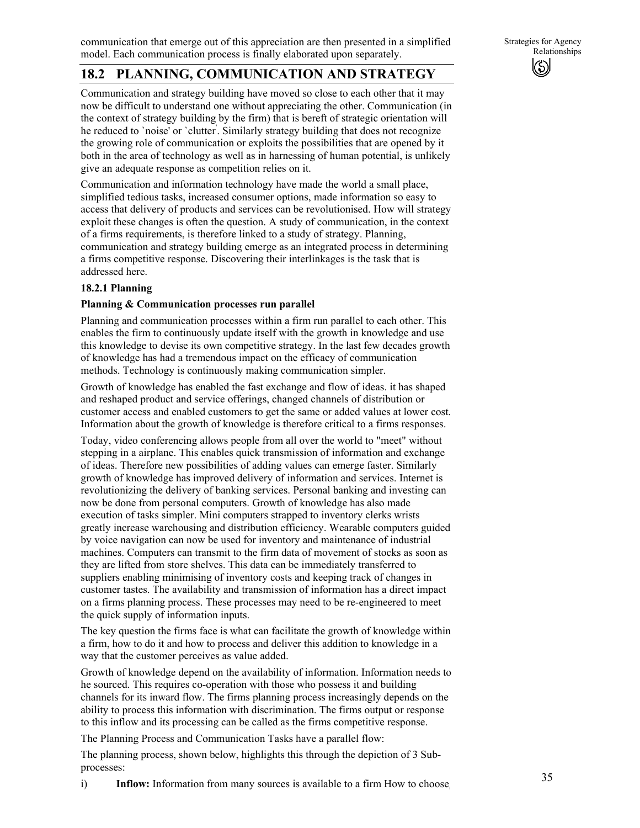# **18.2 PLANNING, COMMUNICATION AND STRATEGY**

Communication and strategy building have moved so close to each other that it may now be difficult to understand one without appreciating the other. Communication (in the context of strategy building by the firm) that is bereft of strategic orientation will he reduced to `noise' or `clutter' . Similarly strategy building that does not recognize the growing role of communication or exploits the possibilities that are opened by it both in the area of technology as well as in harnessing of human potential, is unlikely give an adequate response as competition relies on it.

Communication and information technology have made the world a small place, simplified tedious tasks, increased consumer options, made information so easy to access that delivery of products and services can be revolutionised. How will strategy exploit these changes is often the question. A study of communication, in the context of a firms requirements, is therefore linked to a study of strategy. Planning, communication and strategy building emerge as an integrated process in determining a firms competitive response. Discovering their interlinkages is the task that is addressed here.

### **18.2.1 Planning**

### **Planning & Communication processes run parallel**

Planning and communication processes within a firm run parallel to each other. This enables the firm to continuously update itself with the growth in knowledge and use this knowledge to devise its own competitive strategy. In the last few decades growth of knowledge has had a tremendous impact on the efficacy of communication methods. Technology is continuously making communication simpler.

Growth of knowledge has enabled the fast exchange and flow of ideas. it has shaped and reshaped product and service offerings, changed channels of distribution or customer access and enabled customers to get the same or added values at lower cost. Information about the growth of knowledge is therefore critical to a firms responses.

Today, video conferencing allows people from all over the world to "meet" without stepping in a airplane. This enables quick transmission of information and exchange of ideas. Therefore new possibilities of adding values can emerge faster. Similarly growth of knowledge has improved delivery of information and services. Internet is revolutionizing the delivery of banking services. Personal banking and investing can now be done from personal computers. Growth of knowledge has also made execution of tasks simpler. Mini computers strapped to inventory clerks wrists greatly increase warehousing and distribution efficiency. Wearable computers guided by voice navigation can now be used for inventory and maintenance of industrial machines. Computers can transmit to the firm data of movement of stocks as soon as they are lifted from store shelves. This data can be immediately transferred to suppliers enabling minimising of inventory costs and keeping track of changes in customer tastes. The availability and transmission of information has a direct impact on a firms planning process. These processes may need to be re-engineered to meet the quick supply of information inputs.

The key question the firms face is what can facilitate the growth of knowledge within a firm, how to do it and how to process and deliver this addition to knowledge in a way that the customer perceives as value added.

Growth of knowledge depend on the availability of information. Information needs to he sourced. This requires co-operation with those who possess it and building channels for its inward flow. The firms planning process increasingly depends on the ability to process this information with discrimination. The firms output or response to this inflow and its processing can be called as the firms competitive response.

The Planning Process and Communication Tasks have a parallel flow:

The planning process, shown below, highlights this through the depiction of 3 Subprocesses:

i) **Inflow:** Information from many sources is available to a firm How to choose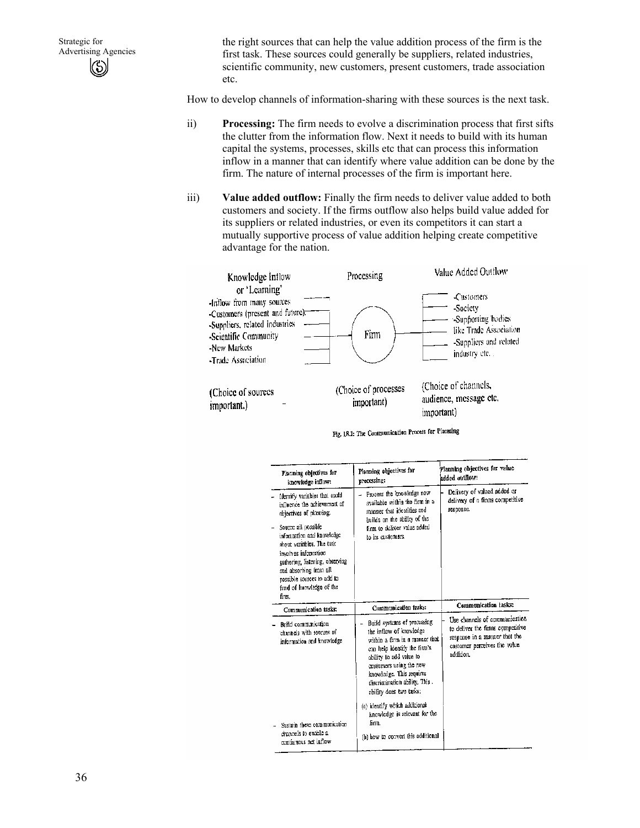the right sources that can help the value addition process of the firm is the first task. These sources could generally be suppliers, related industries, scientific community, new customers, present customers, trade association etc.

How to develop channels of information-sharing with these sources is the next task.

- ii) **Processing:** The firm needs to evolve a discrimination process that first sifts the clutter from the information flow. Next it needs to build with its human capital the systems, processes, skills etc that can process this information inflow in a manner that can identify where value addition can be done by the firm. The nature of internal processes of the firm is important here.
- iii) **Value added outflow:** Finally the firm needs to deliver value added to both customers and society. If the firms outflow also helps build value added for its suppliers or related industries, or even its competitors it can start a mutually supportive process of value addition helping create competitive advantage for the nation.



Fig. 18.1: The Communication Process for Planning

| Planning objectives for<br>knowledge inflow:                                                                                                                                                                                                                                                                                                       | Planning objectives for<br>processing:                                                                                                                                                                                                                                | Planning objectives for value<br>added outflow:                                                                                                 |
|----------------------------------------------------------------------------------------------------------------------------------------------------------------------------------------------------------------------------------------------------------------------------------------------------------------------------------------------------|-----------------------------------------------------------------------------------------------------------------------------------------------------------------------------------------------------------------------------------------------------------------------|-------------------------------------------------------------------------------------------------------------------------------------------------|
| Identify variables that could<br>influence the achievement of<br>objectives of planning.<br>Source all possible<br>$\overline{a}$<br>information and knowledge<br>shout variables. The task<br>involves information.<br>gathering, listening, observing<br>and absorbing from all<br>possible sources to add to<br>fund of knowledge of the<br>ñm. | Process the knowledge now<br>۳<br>available within the firm in a<br>manner that identifies and<br>builds on the ability of the<br>firm to deliver value added<br>to its customers.                                                                                    | Delivery of valued added or<br>delivery of a firms competitive<br>response.                                                                     |
| Communication tasks:                                                                                                                                                                                                                                                                                                                               | Communication tasks:                                                                                                                                                                                                                                                  | Communication tasks:                                                                                                                            |
| Build communication.<br>channels with sources of<br>information and knowledge                                                                                                                                                                                                                                                                      | Build systems of processing<br>the inflow of knowledge<br>within a firm in a manner that<br>can help identify the firm's<br>ability to add value to<br>enstomers using the new<br>knowledge. This requires<br>discrimination ability. This<br>ability does two tasks; | Use channels of communication<br>to deliver the firms competitive<br>response in a monner that the<br>costomer perceives the value<br>addition. |
| Sustain these communication<br>channels to enable a<br>continuous net influw                                                                                                                                                                                                                                                                       | (a) identify which additional<br>knowledge is relevant for the<br>firm.<br>(h) how to convert this additional                                                                                                                                                         |                                                                                                                                                 |
|                                                                                                                                                                                                                                                                                                                                                    |                                                                                                                                                                                                                                                                       |                                                                                                                                                 |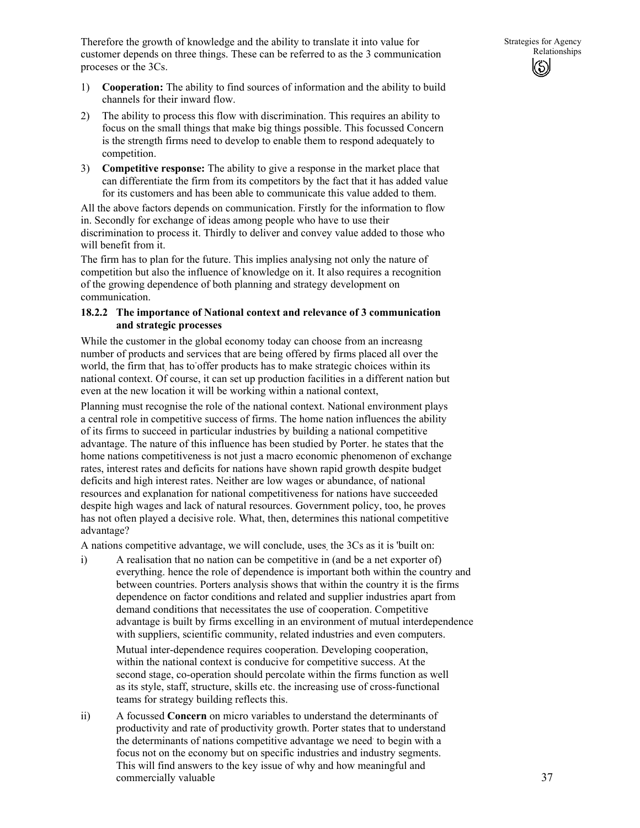Therefore the growth of knowledge and the ability to translate it into value for customer depends on three things. These can be referred to as the 3 communication proceses or the 3Cs.

- 1) **Cooperation:** The ability to find sources of information and the ability to build channels for their inward flow.
- 2) The ability to process this flow with discrimination. This requires an ability to focus on the small things that make big things possible. This focussed Concern is the strength firms need to develop to enable them to respond adequately to competition.
- 3) **Competitive response:** The ability to give a response in the market place that can differentiate the firm from its competitors by the fact that it has added value for its customers and has been able to communicate this value added to them.

All the above factors depends on communication. Firstly for the information to flow in. Secondly for exchange of ideas among people who have to use their discrimination to process it. Thirdly to deliver and convey value added to those who will benefit from it.

The firm has to plan for the future. This implies analysing not only the nature of competition but also the influence of knowledge on it. It also requires a recognition of the growing dependence of both planning and strategy development on communication.

### **18.2.2 The importance of National context and relevance of 3 communication and strategic processes**

While the customer in the global economy today can choose from an increasng number of products and services that are being offered by firms placed all over the world, the firm that, has to offer products has to make strategic choices within its national context. Of course, it can set up production facilities in a different nation but even at the new location it will be working within a national context,

Planning must recognise the role of the national context. National environment plays a central role in competitive success of firms. The home nation influences the ability of its firms to succeed in particular industries by building a national competitive advantage. The nature of this influence has been studied by Porter. he states that the home nations competitiveness is not just a macro economic phenomenon of exchange rates, interest rates and deficits for nations have shown rapid growth despite budget deficits and high interest rates. Neither are low wages or abundance, of national resources and explanation for national competitiveness for nations have succeeded despite high wages and lack of natural resources. Government policy, too, he proves has not often played a decisive role. What, then, determines this national competitive advantage?

A nations competitive advantage, we will conclude, uses, the 3Cs as it is 'built on:

i) A realisation that no nation can be competitive in (and be a net exporter of) everything. hence the role of dependence is important both within the country and between countries. Porters analysis shows that within the country it is the firms dependence on factor conditions and related and supplier industries apart from demand conditions that necessitates the use of cooperation. Competitive advantage is built by firms excelling in an environment of mutual interdependence with suppliers, scientific community, related industries and even computers.

Mutual inter-dependence requires cooperation. Developing cooperation, within the national context is conducive for competitive success. At the second stage, co-operation should percolate within the firms function as well as its style, staff, structure, skills etc. the increasing use of cross-functional teams for strategy building reflects this.

ii) A focussed **Concern** on micro variables to understand the determinants of productivity and rate of productivity growth. Porter states that to understand the determinants of nations competitive advantage we need to begin with a focus not on the economy but on specific industries and industry segments. This will find answers to the key issue of why and how meaningful and commercially valuable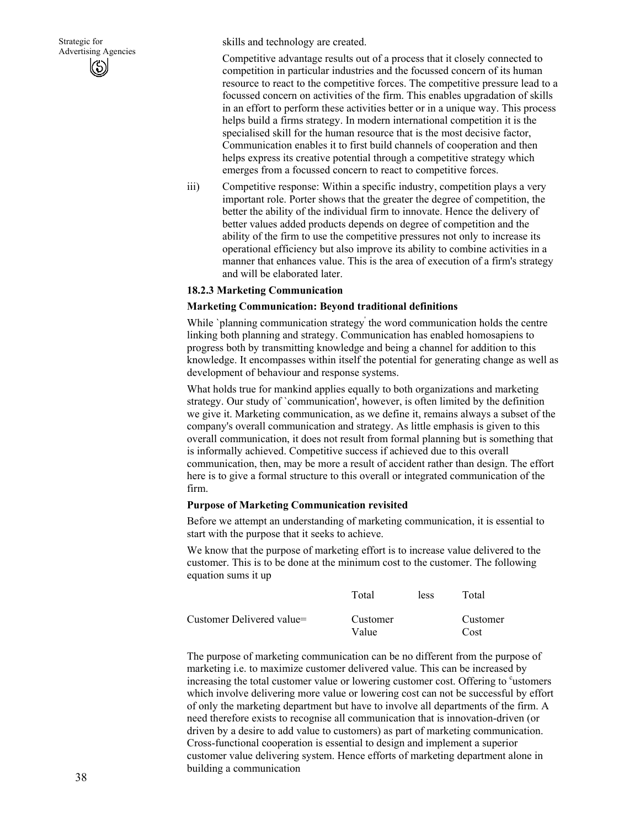skills and technology are created.

Competitive advantage results out of a process that it closely connected to competition in particular industries and the focussed concern of its human resource to react to the competitive forces. The competitive pressure lead to a focussed concern on activities of the firm. This enables upgradation of skills in an effort to perform these activities better or in a unique way. This process helps build a firms strategy. In modern international competition it is the specialised skill for the human resource that is the most decisive factor, Communication enables it to first build channels of cooperation and then helps express its creative potential through a competitive strategy which emerges from a focussed concern to react to competitive forces.

iii) Competitive response: Within a specific industry, competition plays a very important role. Porter shows that the greater the degree of competition, the better the ability of the individual firm to innovate. Hence the delivery of better values added products depends on degree of competition and the ability of the firm to use the competitive pressures not only to increase its operational efficiency but also improve its ability to combine activities in a manner that enhances value. This is the area of execution of a firm's strategy and will be elaborated later.

#### **18.2.3 Marketing Communication**

#### **Marketing Communication: Beyond traditional definitions**

While `planning communication strategy' the word communication holds the centre linking both planning and strategy. Communication has enabled homosapiens to progress both by transmitting knowledge and being a channel for addition to this knowledge. It encompasses within itself the potential for generating change as well as development of behaviour and response systems.

What holds true for mankind applies equally to both organizations and marketing strategy. Our study of `communication', however, is often limited by the definition we give it. Marketing communication, as we define it, remains always a subset of the company's overall communication and strategy. As little emphasis is given to this overall communication, it does not result from formal planning but is something that is informally achieved. Competitive success if achieved due to this overall communication, then, may be more a result of accident rather than design. The effort here is to give a formal structure to this overall or integrated communication of the firm.

#### **Purpose of Marketing Communication revisited**

Before we attempt an understanding of marketing communication, it is essential to start with the purpose that it seeks to achieve.

We know that the purpose of marketing effort is to increase value delivered to the customer. This is to be done at the minimum cost to the customer. The following equation sums it up

|                           | Total    | <b>less</b> | Total    |
|---------------------------|----------|-------------|----------|
| Customer Delivered value= | Customer |             | Customer |
|                           | Value    |             | Cost     |

The purpose of marketing communication can be no different from the purpose of marketing i.e. to maximize customer delivered value. This can be increased by increasing the total customer value or lowering customer cost. Offering to 'ustomers' which involve delivering more value or lowering cost can not be successful by effort of only the marketing department but have to involve all departments of the firm. A need therefore exists to recognise all communication that is innovation-driven (or driven by a desire to add value to customers) as part of marketing communication. Cross-functional cooperation is essential to design and implement a superior customer value delivering system. Hence efforts of marketing department alone in building a communication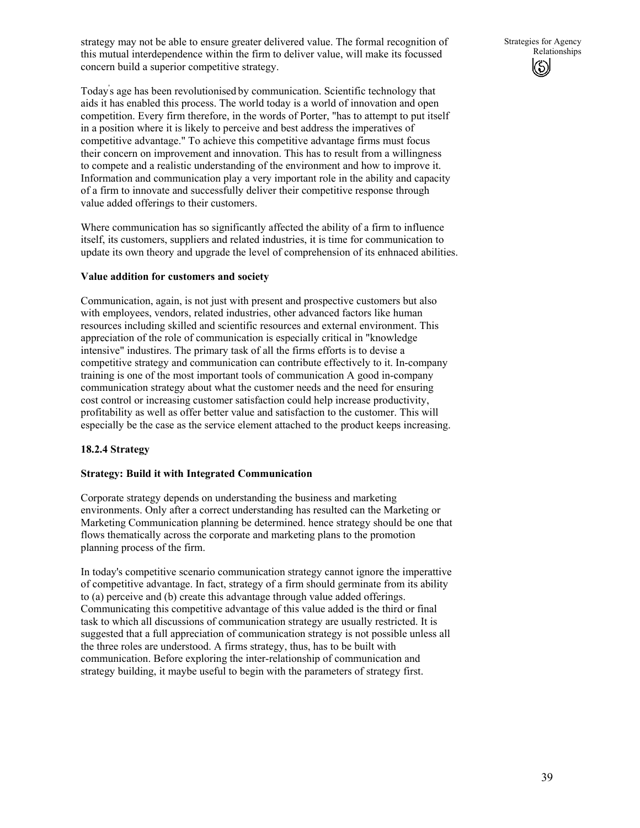strategy may not be able to ensure greater delivered value. The formal recognition of this mutual interdependence within the firm to deliver value, will make its focussed concern build a superior competitive strategy.

Today' s age has been revolutionised by communication. Scientific technology that aids it has enabled this process. The world today is a world of innovation and open competition. Every firm therefore, in the words of Porter, "has to attempt to put itself in a position where it is likely to perceive and best address the imperatives of competitive advantage." To achieve this competitive advantage firms must focus their concern on improvement and innovation. This has to result from a willingness to compete and a realistic understanding of the environment and how to improve it. Information and communication play a very important role in the ability and capacity of a firm to innovate and successfully deliver their competitive response through value added offerings to their customers.

Where communication has so significantly affected the ability of a firm to influence itself, its customers, suppliers and related industries, it is time for communication to update its own theory and upgrade the level of comprehension of its enhnaced abilities.

### **Value addition for customers and society**

Communication, again, is not just with present and prospective customers but also with employees, vendors, related industries, other advanced factors like human resources including skilled and scientific resources and external environment. This appreciation of the role of communication is especially critical in "knowledge intensive" industires. The primary task of all the firms efforts is to devise a competitive strategy and communication can contribute effectively to it. In-company training is one of the most important tools of communication A good in-company communication strategy about what the customer needs and the need for ensuring cost control or increasing customer satisfaction could help increase productivity, profitability as well as offer better value and satisfaction to the customer. This will especially be the case as the service element attached to the product keeps increasing.

### **18.2.4 Strategy**

#### **Strategy: Build it with Integrated Communication**

Corporate strategy depends on understanding the business and marketing environments. Only after a correct understanding has resulted can the Marketing or Marketing Communication planning be determined. hence strategy should be one that flows thematically across the corporate and marketing plans to the promotion planning process of the firm.

In today's competitive scenario communication strategy cannot ignore the imperattive of competitive advantage. In fact, strategy of a firm should germinate from its ability to (a) perceive and (b) create this advantage through value added offerings. Communicating this competitive advantage of this value added is the third or final task to which all discussions of communication strategy are usually restricted. It is suggested that a full appreciation of communication strategy is not possible unless all the three roles are understood. A firms strategy, thus, has to be built with communication. Before exploring the inter-relationship of communication and strategy building, it maybe useful to begin with the parameters of strategy first.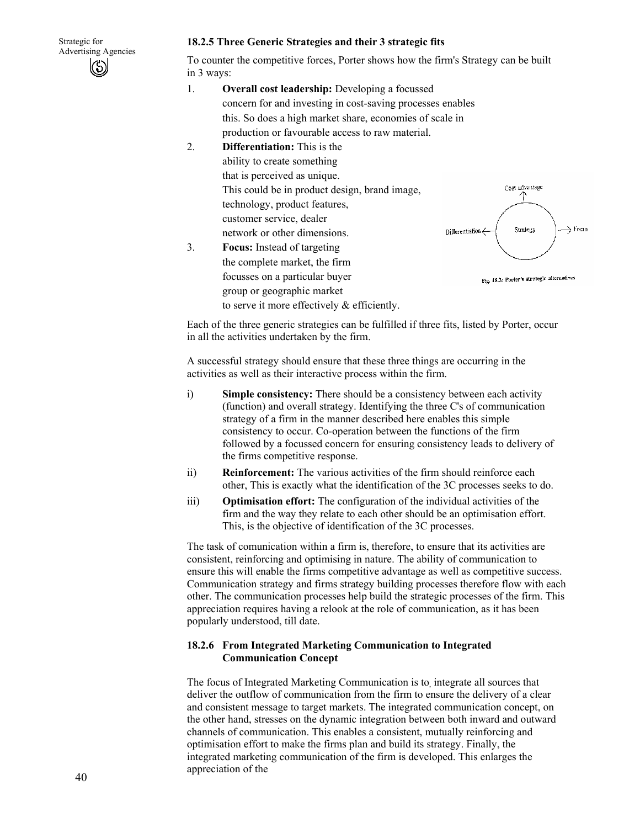

### **18.2.5 Three Generic Strategies and their 3 strategic fits**

To counter the competitive forces, Porter shows how the firm's Strategy can be built in 3 ways:

- 1. **Overall cost leadership:** Developing a focussed concern for and investing in cost-saving processes enables this. So does a high market share, economies of scale in production or favourable access to raw material.
- 2. **Differentiation:** This is the ability to create something that is perceived as unique. This could be in product design, brand image, technology, product features, customer service, dealer network or other dimensions.



3. **Focus:** Instead of targeting the complete market, the firm focusses on a particular buyer group or geographic market to serve it more effectively & efficiently.

Each of the three generic strategies can be fulfilled if three fits, listed by Porter, occur in all the activities undertaken by the firm.

A successful strategy should ensure that these three things are occurring in the activities as well as their interactive process within the firm.

- i) **Simple consistency:** There should be a consistency between each activity (function) and overall strategy. Identifying the three C's of communication strategy of a firm in the manner described here enables this simple consistency to occur. Co-operation between the functions of the firm followed by a focussed concern for ensuring consistency leads to delivery of the firms competitive response.
- ii) **Reinforcement:** The various activities of the firm should reinforce each other, This is exactly what the identification of the 3C processes seeks to do.
- iii) **Optimisation effort:** The configuration of the individual activities of the firm and the way they relate to each other should be an optimisation effort. This, is the objective of identification of the 3C processes.

The task of comunication within a firm is, therefore, to ensure that its activities are consistent, reinforcing and optimising in nature. The ability of communication to ensure this will enable the firms competitive advantage as well as competitive success. Communication strategy and firms strategy building processes therefore flow with each other. The communication processes help build the strategic processes of the firm. This appreciation requires having a relook at the role of communication, as it has been popularly understood, till date.

### **18.2.6 From Integrated Marketing Communication to Integrated Communication Concept**

The focus of Integrated Marketing Communication is to, integrate all sources that deliver the outflow of communication from the firm to ensure the delivery of a clear and consistent message to target markets. The integrated communication concept, on the other hand, stresses on the dynamic integration between both inward and outward channels of communication. This enables a consistent, mutually reinforcing and optimisation effort to make the firms plan and build its strategy. Finally, the integrated marketing communication of the firm is developed. This enlarges the appreciation of the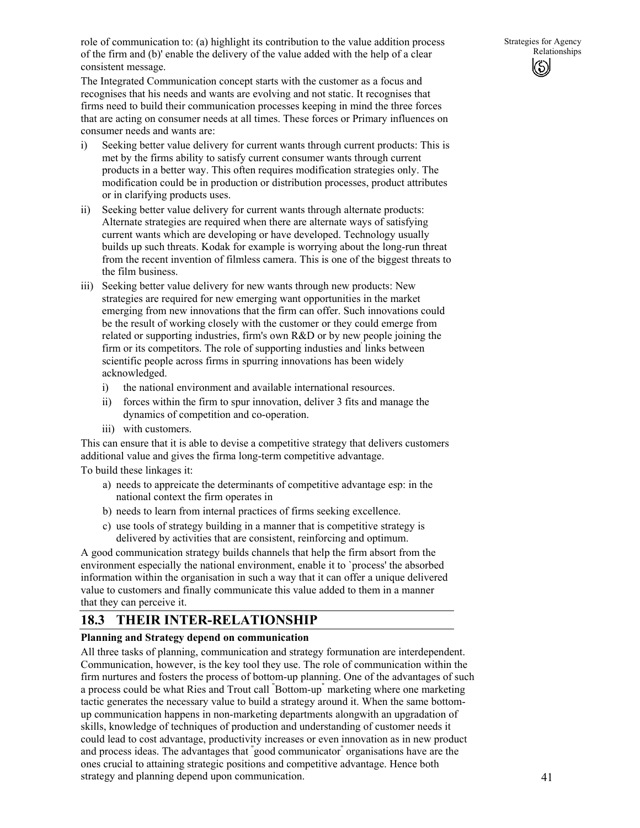role of communication to: (a) highlight its contribution to the value addition process of the firm and (b)' enable the delivery of the value added with the help of a clear consistent message.

The Integrated Communication concept starts with the customer as a focus and recognises that his needs and wants are evolving and not static. It recognises that firms need to build their communication processes keeping in mind the three forces that are acting on consumer needs at all times. These forces or Primary influences on consumer needs and wants are:

- i) Seeking better value delivery for current wants through current products: This is met by the firms ability to satisfy current consumer wants through current products in a better way. This often requires modification strategies only. The modification could be in production or distribution processes, product attributes or in clarifying products uses.
- ii) Seeking better value delivery for current wants through alternate products: Alternate strategies are required when there are alternate ways of satisfying current wants which are developing or have developed. Technology usually builds up such threats. Kodak for example is worrying about the long-run threat from the recent invention of filmless camera. This is one of the biggest threats to the film business.
- iii) Seeking better value delivery for new wants through new products: New strategies are required for new emerging want opportunities in the market emerging from new innovations that the firm can offer. Such innovations could be the result of working closely with the customer or they could emerge from related or supporting industries, firm's own R&D or by new people joining the firm or its competitors. The role of supporting industies and links between scientific people across firms in spurring innovations has been widely acknowledged.
	- i) the national environment and available international resources.
	- ii) forces within the firm to spur innovation, deliver 3 fits and manage the dynamics of competition and co-operation.
	- iii) with customers.

This can ensure that it is able to devise a competitive strategy that delivers customers additional value and gives the firma long-term competitive advantage. To build these linkages it:

- a) needs to appreicate the determinants of competitive advantage esp: in the national context the firm operates in
- b) needs to learn from internal practices of firms seeking excellence.
- c) use tools of strategy building in a manner that is competitive strategy is delivered by activities that are consistent, reinforcing and optimum.

A good communication strategy builds channels that help the firm absort from the environment especially the national environment, enable it to `process' the absorbed information within the organisation in such a way that it can offer a unique delivered value to customers and finally communicate this value added to them in a manner that they can perceive it.

# **18.3 THEIR INTER-RELATIONSHIP**

# **Planning and Strategy depend on communication**

All three tasks of planning, communication and strategy formunation are interdependent. Communication, however, is the key tool they use. The role of communication within the firm nurtures and fosters the process of bottom-up planning. One of the advantages of such a process could be what Ries and Trout call " Bottom-up" marketing where one marketing tactic generates the necessary value to build a strategy around it. When the same bottomup communication happens in non-marketing departments alongwith an upgradation of skills, knowledge of techniques of production and understanding of customer needs it could lead to cost advantage, productivity increases or even innovation as in new product and process ideas. The advantages that " good communicator" organisations have are the ones crucial to attaining strategic positions and competitive advantage. Hence both strategy and planning depend upon communication.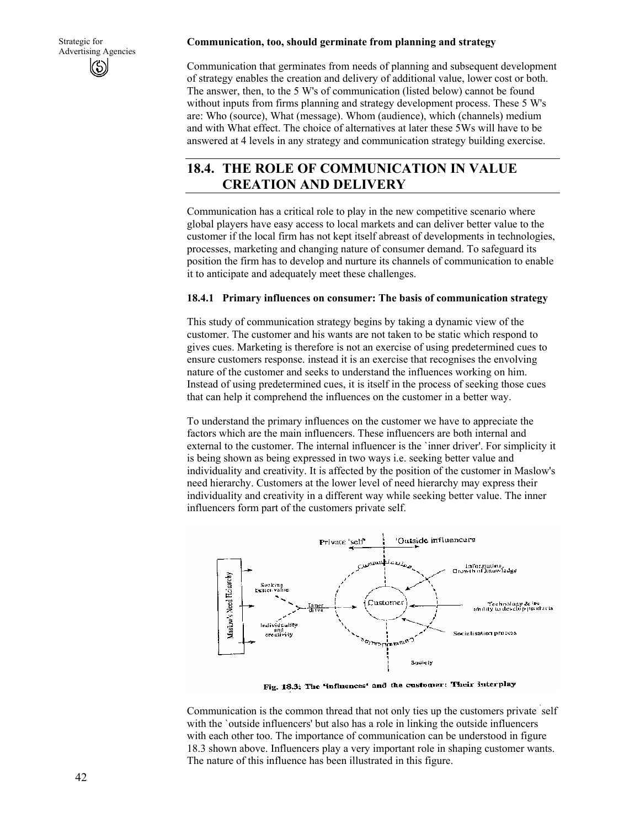#### **Communication, too, should germinate from planning and strategy**

Communication that germinates from needs of planning and subsequent development of strategy enables the creation and delivery of additional value, lower cost or both. The answer, then, to the 5 W's of communication (listed below) cannot be found without inputs from firms planning and strategy development process. These 5 W's are: Who (source), What (message). Whom (audience), which (channels) medium and with What effect. The choice of alternatives at later these 5Ws will have to be answered at 4 levels in any strategy and communication strategy building exercise.

# **18.4. THE ROLE OF COMMUNICATION IN VALUE CREATION AND DELIVERY**

Communication has a critical role to play in the new competitive scenario where global players have easy access to local markets and can deliver better value to the customer if the local firm has not kept itself abreast of developments in technologies, processes, marketing and changing nature of consumer demand. To safeguard its position the firm has to develop and nurture its channels of communication to enable it to anticipate and adequately meet these challenges.

#### **18.4.1 Primary influences on consumer: The basis of communication strategy**

This study of communication strategy begins by taking a dynamic view of the customer. The customer and his wants are not taken to be static which respond to gives cues. Marketing is therefore is not an exercise of using predetermined cues to ensure customers response. instead it is an exercise that recognises the envolving nature of the customer and seeks to understand the influences working on him. Instead of using predetermined cues, it is itself in the process of seeking those cues that can help it comprehend the influences on the customer in a better way.

To understand the primary influences on the customer we have to appreciate the factors which are the main influencers. These influencers are both internal and external to the customer. The internal influencer is the `inner driver'. For simplicity it is being shown as being expressed in two ways i.e. seeking better value and individuality and creativity. It is affected by the position of the customer in Maslow's need hierarchy. Customers at the lower level of need hierarchy may express their individuality and creativity in a different way while seeking better value. The inner influencers form part of the customers private self.



Fig. 18.3; The 'influences' and the customer: Their interplay

Communication is the common thread that not only ties up the customers private ` self with the `outside influencers' but also has a role in linking the outside influencers with each other too. The importance of communication can be understood in figure 18.3 shown above. Influencers play a very important role in shaping customer wants. The nature of this influence has been illustrated in this figure.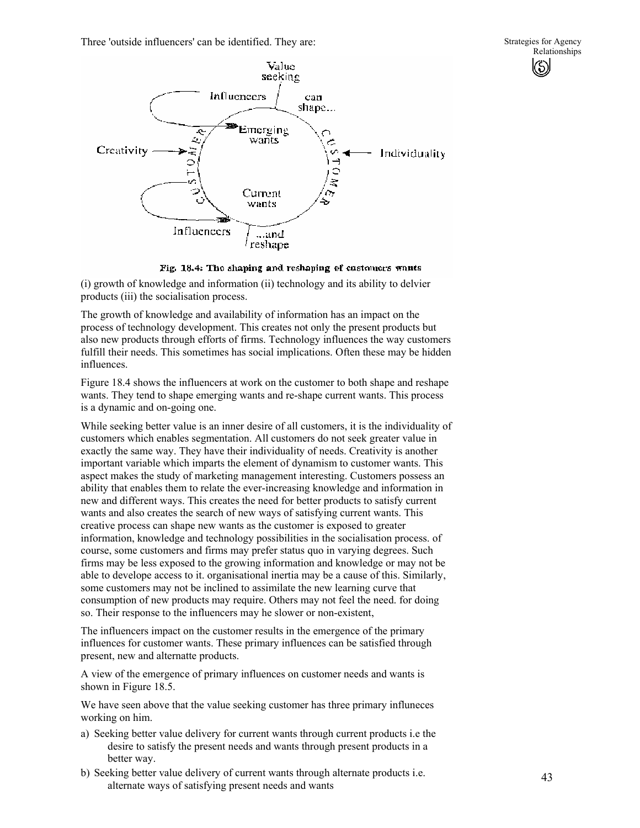Three 'outside influencers' can be identified. They are:



#### Fig. 18.4: The shaping and reshaping of customers wants

(i) growth of knowledge and information (ii) technology and its ability to delvier products (iii) the socialisation process.

The growth of knowledge and availability of information has an impact on the process of technology development. This creates not only the present products but also new products through efforts of firms. Technology influences the way customers fulfill their needs. This sometimes has social implications. Often these may be hidden influences.

Figure 18.4 shows the influencers at work on the customer to both shape and reshape wants. They tend to shape emerging wants and re-shape current wants. This process is a dynamic and on-going one.

While seeking better value is an inner desire of all customers, it is the individuality of customers which enables segmentation. All customers do not seek greater value in exactly the same way. They have their individuality of needs. Creativity is another important variable which imparts the element of dynamism to customer wants. This aspect makes the study of marketing management interesting. Customers possess an ability that enables them to relate the ever-increasing knowledge and information in new and different ways. This creates the need for better products to satisfy current wants and also creates the search of new ways of satisfying current wants. This creative process can shape new wants as the customer is exposed to greater information, knowledge and technology possibilities in the socialisation process. of course, some customers and firms may prefer status quo in varying degrees. Such firms may be less exposed to the growing information and knowledge or may not be able to develope access to it. organisational inertia may be a cause of this. Similarly, some customers may not be inclined to assimilate the new learning curve that consumption of new products may require. Others may not feel the need. for doing so. Their response to the influencers may he slower or non-existent,

The influencers impact on the customer results in the emergence of the primary influences for customer wants. These primary influences can be satisfied through present, new and alternatte products.

A view of the emergence of primary influences on customer needs and wants is shown in Figure 18.5.

We have seen above that the value seeking customer has three primary influneces working on him.

- a) Seeking better value delivery for current wants through current products i.e the desire to satisfy the present needs and wants through present products in a better way.
- b) Seeking better value delivery of current wants through alternate products i.e. alternate ways of satisfying present needs and wants

Strategies for Agency Relationships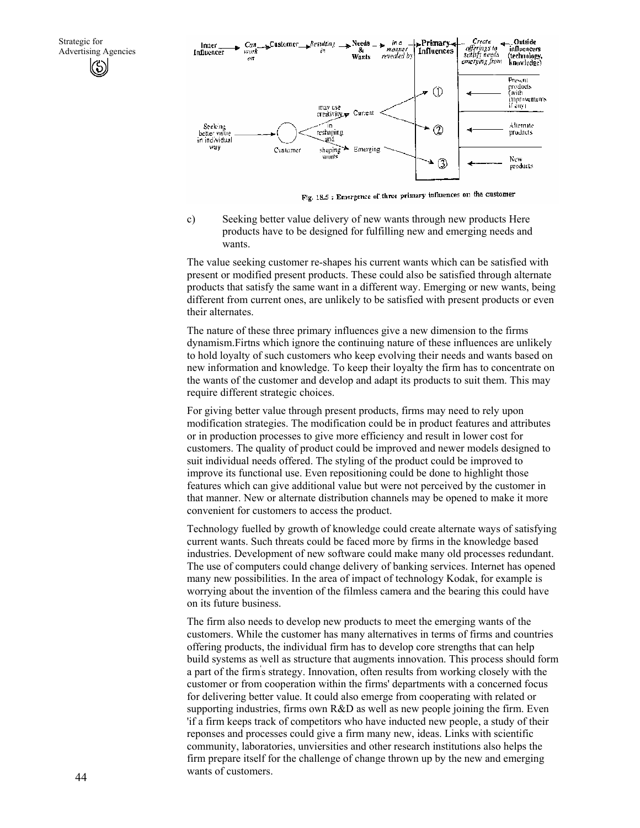

Fig. 18.5 : Emergence of three primary influences on the customer

c) Seeking better value delivery of new wants through new products Here products have to be designed for fulfilling new and emerging needs and wants.

The value seeking customer re-shapes his current wants which can be satisfied with present or modified present products. These could also be satisfied through alternate products that satisfy the same want in a different way. Emerging or new wants, being different from current ones, are unlikely to be satisfied with present products or even their alternates.

The nature of these three primary influences give a new dimension to the firms dynamism.Firtns which ignore the continuing nature of these influences are unlikely to hold loyalty of such customers who keep evolving their needs and wants based on new information and knowledge. To keep their loyalty the firm has to concentrate on the wants of the customer and develop and adapt its products to suit them. This may require different strategic choices.

For giving better value through present products, firms may need to rely upon modification strategies. The modification could be in product features and attributes or in production processes to give more efficiency and result in lower cost for customers. The quality of product could be improved and newer models designed to suit individual needs offered. The styling of the product could be improved to improve its functional use. Even repositioning could be done to highlight those features which can give additional value but were not perceived by the customer in that manner. New or alternate distribution channels may be opened to make it more convenient for customers to access the product.

Technology fuelled by growth of knowledge could create alternate ways of satisfying current wants. Such threats could be faced more by firms in the knowledge based industries. Development of new software could make many old processes redundant. The use of computers could change delivery of banking services. Internet has opened many new possibilities. In the area of impact of technology Kodak, for example is worrying about the invention of the filmless camera and the bearing this could have on its future business.

The firm also needs to develop new products to meet the emerging wants of the customers. While the customer has many alternatives in terms of firms and countries offering products, the individual firm has to develop core strengths that can help build systems as well as structure that augments innovation. This process should form a part of the firm' s strategy. Innovation, often results from working closely with the customer or from cooperation within the firms' departments with a concerned focus for delivering better value. It could also emerge from cooperating with related or supporting industries, firms own  $R&D$  as well as new people joining the firm. Even 'if a firm keeps track of competitors who have inducted new people, a study of their reponses and processes could give a firm many new, ideas. Links with scientific community, laboratories, unviersities and other research institutions also helps the firm prepare itself for the challenge of change thrown up by the new and emerging wants of customers.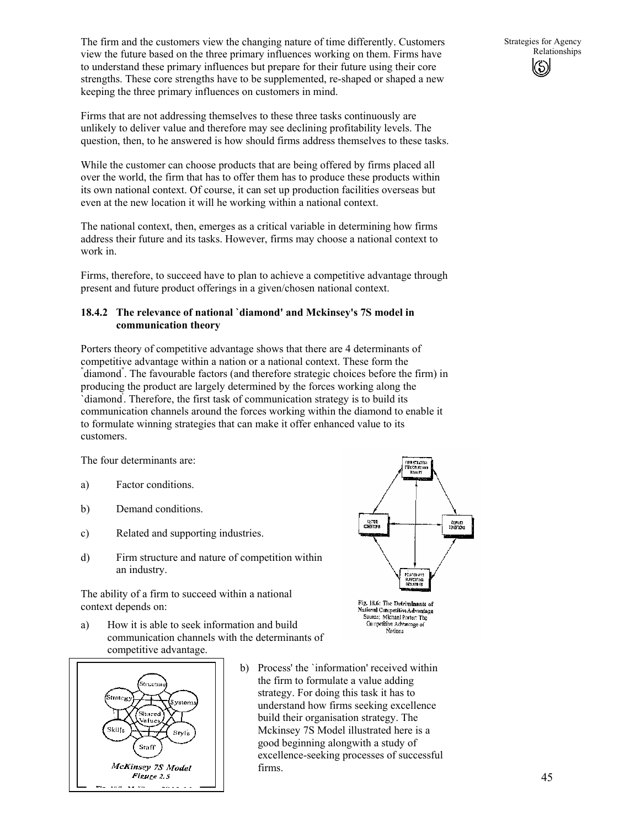The firm and the customers view the changing nature of time differently. Customers view the future based on the three primary influences working on them. Firms have to understand these primary influences but prepare for their future using their core strengths. These core strengths have to be supplemented, re-shaped or shaped a new keeping the three primary influences on customers in mind.

Firms that are not addressing themselves to these three tasks continuously are unlikely to deliver value and therefore may see declining profitability levels. The question, then, to he answered is how should firms address themselves to these tasks.

While the customer can choose products that are being offered by firms placed all over the world, the firm that has to offer them has to produce these products within its own national context. Of course, it can set up production facilities overseas but even at the new location it will he working within a national context.

The national context, then, emerges as a critical variable in determining how firms address their future and its tasks. However, firms may choose a national context to work in.

Firms, therefore, to succeed have to plan to achieve a competitive advantage through present and future product offerings in a given/chosen national context.

### **18.4.2 The relevance of national `diamond' and Mckinsey's 7S model in communication theory**

Porters theory of competitive advantage shows that there are 4 determinants of competitive advantage within a nation or a national context. These form the " diamond" . The favourable factors (and therefore strategic choices before the firm) in producing the product are largely determined by the forces working along the `diamond' . Therefore, the first task of communication strategy is to build its communication channels around the forces working within the diamond to enable it to formulate winning strategies that can make it offer enhanced value to its customers.

The four determinants are:

- a) Factor conditions.
- b) Demand conditions.
- c) Related and supporting industries.
- d) Firm structure and nature of competition within an industry.

The ability of a firm to succeed within a national context depends on:

a) How it is able to seek information and build communication channels with the determinants of competitive advantage.



b) Process' the `information' received within the firm to formulate a value adding strategy. For doing this task it has to understand how firms seeking excellence build their organisation strategy. The Mckinsey 7S Model illustrated here is a good beginning alongwith a study of excellence-seeking processes of successful firms.



National Competitive Advantage<br>Source: Michael Porter: The Competitive Advantage of Nations

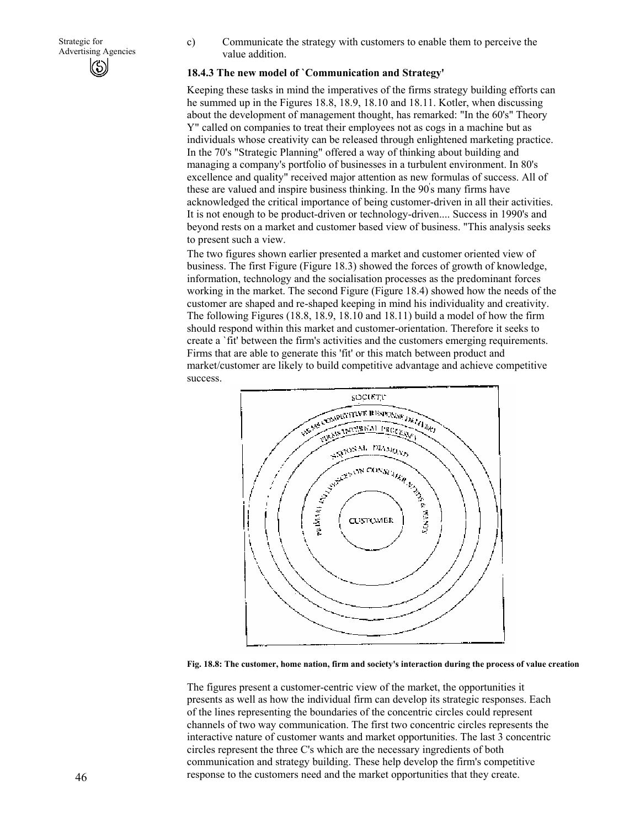c) Communicate the strategy with customers to enable them to perceive the value addition.

### **18.4.3 The new model of `Communication and Strategy'**

Keeping these tasks in mind the imperatives of the firms strategy building efforts can he summed up in the Figures 18.8, 18.9, 18.10 and 18.11. Kotler, when discussing about the development of management thought, has remarked: "In the 60's" Theory Y" called on companies to treat their employees not as cogs in a machine but as individuals whose creativity can be released through enlightened marketing practice. In the 70's "Strategic Planning" offered a way of thinking about building and managing a company's portfolio of businesses in a turbulent environment. In 80's excellence and quality" received major attention as new formulas of success. All of these are valued and inspire business thinking. In the 90' s many firms have acknowledged the critical importance of being customer-driven in all their activities. It is not enough to be product-driven or technology-driven.... Success in 1990's and beyond rests on a market and customer based view of business. "This analysis seeks to present such a view.

The two figures shown earlier presented a market and customer oriented view of business. The first Figure (Figure 18.3) showed the forces of growth of knowledge, information, technology and the socialisation processes as the predominant forces working in the market. The second Figure (Figure 18.4) showed how the needs of the customer are shaped and re-shaped keeping in mind his individuality and creativity. The following Figures (18.8, 18.9, 18.10 and 18.11) build a model of how the firm should respond within this market and customer-orientation. Therefore it seeks to create a `fit' between the firm's activities and the customers emerging requirements. Firms that are able to generate this 'fit' or this match between product and market/customer are likely to build competitive advantage and achieve competitive success.



**Fig. 18.8: The customer, home nation, firm and society's interaction during the process of value creation** 

The figures present a customer-centric view of the market, the opportunities it presents as well as how the individual firm can develop its strategic responses. Each of the lines representing the boundaries of the concentric circles could represent channels of two way communication. The first two concentric circles represents the interactive nature of customer wants and market opportunities. The last 3 concentric circles represent the three C's which are the necessary ingredients of both communication and strategy building. These help develop the firm's competitive response to the customers need and the market opportunities that they create.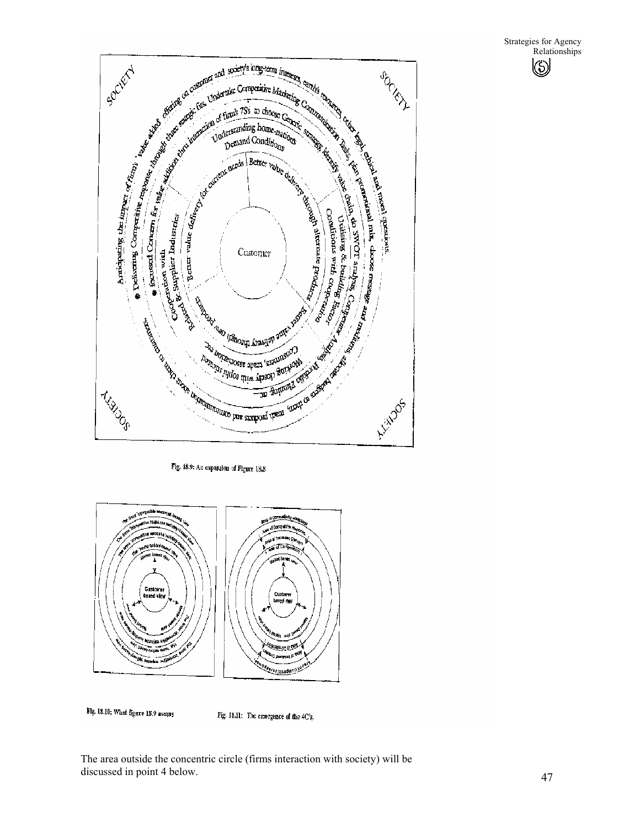



Flg. 18.10; What figure 18.9 means

Fig. 18.11: The emergence of the 4C's,

The area outside the concentric circle (firms interaction with society) will be discussed in point 4 below.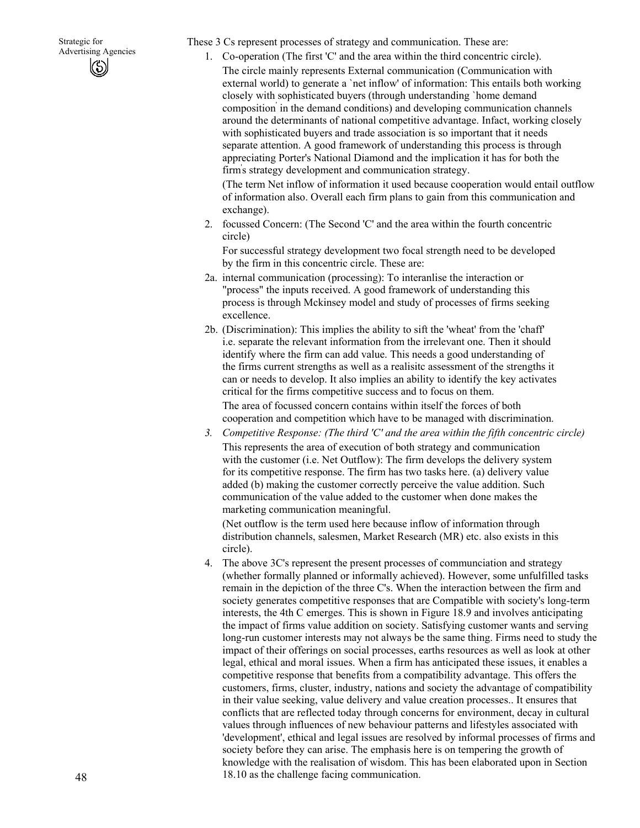These 3 Cs represent processes of strategy and communication. These are:

1. Co-operation (The first 'C' and the area within the third concentric circle).

The circle mainly represents External communication (Communication with external world) to generate a `net inflow' of information: This entails both working closely with sophisticated buyers (through understanding `home demand composition' in the demand conditions) and developing communication channels around the determinants of national competitive advantage. Infact, working closely with sophisticated buyers and trade association is so important that it needs separate attention. A good framework of understanding this process is through appreciating Porter's National Diamond and the implication it has for both the firm' s strategy development and communication strategy.

(The term Net inflow of information it used because cooperation would entail outflow of information also. Overall each firm plans to gain from this communication and exchange).

2. focussed Concern: (The Second 'C' and the area within the fourth concentric circle)

For successful strategy development two focal strength need to be developed by the firm in this concentric circle. These are:

- 2a. internal communication (processing): To interanlise the interaction or "process" the inputs received. A good framework of understanding this process is through Mckinsey model and study of processes of firms seeking excellence.
- 2b. (Discrimination): This implies the ability to sift the 'wheat' from the 'chaff' i.e. separate the relevant information from the irrelevant one. Then it should identify where the firm can add value. This needs a good understanding of the firms current strengths as well as a realisitc assessment of the strengths it can or needs to develop. It also implies an ability to identify the key activates critical for the firms competitive success and to focus on them. The area of focussed concern contains within itself the forces of both

cooperation and competition which have to be managed with discrimination.

*3. Competitive Response: (The third 'C' and the area within the fifth concentric circle)*  This represents the area of execution of both strategy and communication with the customer (i.e. Net Outflow): The firm develops the delivery system for its competitive response. The firm has two tasks here. (a) delivery value added (b) making the customer correctly perceive the value addition. Such communication of the value added to the customer when done makes the marketing communication meaningful.

(Net outflow is the term used here because inflow of information through distribution channels, salesmen, Market Research (MR) etc. also exists in this circle).

4. The above 3C's represent the present processes of communciation and strategy (whether formally planned or informally achieved). However, some unfulfilled tasks remain in the depiction of the three C's. When the interaction between the firm and society generates competitive responses that are Compatible with society's long-term interests, the 4th C emerges. This is shown in Figure 18.9 and involves anticipating the impact of firms value addition on society. Satisfying customer wants and serving long-run customer interests may not always be the same thing. Firms need to study the impact of their offerings on social processes, earths resources as well as look at other legal, ethical and moral issues. When a firm has anticipated these issues, it enables a competitive response that benefits from a compatibility advantage. This offers the customers, firms, cluster, industry, nations and society the advantage of compatibility in their value seeking, value delivery and value creation processes.. It ensures that conflicts that are reflected today through concerns for environment, decay in cultural values through influences of new behaviour patterns and lifestyles associated with 'development', ethical and legal issues are resolved by informal processes of firms and society before they can arise. The emphasis here is on tempering the growth of knowledge with the realisation of wisdom. This has been elaborated upon in Section 18.10 as the challenge facing communication.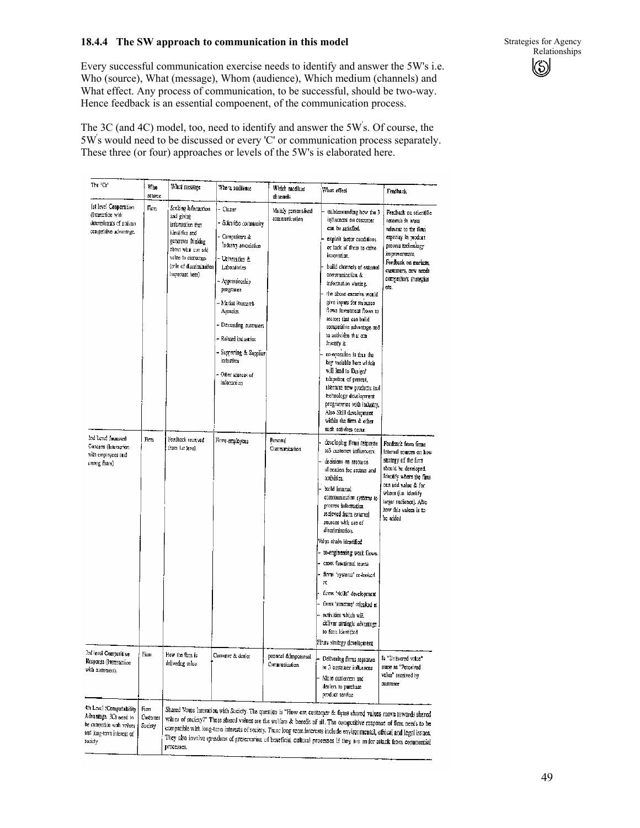### **18.4.4 The SW approach to communication in this model**

Every successful communication exercise needs to identify and answer the 5W's i.e. Who (source), What (message), Whom (audience), Which medium (channels) and What effect. Any process of communication, to be successful, should be two-way. Hence feedback is an essential compoenent, of the communication process.

The 3C (and 4C) model, too, need to identify and answer the 5W' s. Of course, the 5W' s would need to be discussed or every 'C' or communication process separately. These three (or four) approaches or levels of the 5W's is elaborated here.

| The 'Cs'                                                                                                               | Who<br>source               | What message                                                                                                                                                                            | Whom audience                                                                                                                                                                                                                                                                                                 | Which medlum<br>channels                | What effect                                                                                                                                                                                                                                                                                                                                                                                                                                                                                                                                                                                                                                                                              | Ferdhack                                                                                                                                                                                                                               |
|------------------------------------------------------------------------------------------------------------------------|-----------------------------|-----------------------------------------------------------------------------------------------------------------------------------------------------------------------------------------|---------------------------------------------------------------------------------------------------------------------------------------------------------------------------------------------------------------------------------------------------------------------------------------------------------------|-----------------------------------------|------------------------------------------------------------------------------------------------------------------------------------------------------------------------------------------------------------------------------------------------------------------------------------------------------------------------------------------------------------------------------------------------------------------------------------------------------------------------------------------------------------------------------------------------------------------------------------------------------------------------------------------------------------------------------------------|----------------------------------------------------------------------------------------------------------------------------------------------------------------------------------------------------------------------------------------|
| lat level Cooperation<br>(Interaction with<br>determinants of nations<br>competitive advantage,                        | Firm                        | Sceking heformation<br>and giving<br>information that<br>identifies and<br>generates thinking<br>about what can add<br>value to customers<br>(mle ef discrimination)<br>Important here) | Cluster<br>- Scientific community<br>- Competitors &<br>Industry association<br>Universities &<br>Laboratories<br>Apprenticeship<br>programs<br>- Market Rosearch<br>Араксім.<br>- Detoanding costomers<br>– Related industries<br>- Supporting & Supplier<br>industires<br>- Other sources of<br>information | Mainly personalised<br>communication    | unbdenstanding how the 3<br>influences on customer<br>can be satisfied.<br>exploit factor conditions<br>or lack of them to drive<br>imioration.<br>build channels of external<br>communication &<br>information sharing.<br>the above exercise would<br>give inputs for resource<br>flows investment flows to<br>sectors that can build<br>competitive advantage and<br>to activities that con<br>Inichty it.<br>co-operation is thus the<br>key variable here which<br>will lead to Design'<br>edapution of present,<br>siternate new products and<br>technology development<br>programmes with ladustry.<br>Also Skill development<br>within the firm & other<br>such activites occur. | Feedback on selectific<br>research in areas.<br>relevant to the firm.<br>especiay in product<br>process technology<br>improvements.<br>Feedback on markets,<br>customers, new needs<br>competitors strategies<br>ct.                   |
| 3nd Level focusved<br>Concern (Interaction<br>with employees and<br>unong films)                                       | Fint                        | Feedhack received<br>irom far level.                                                                                                                                                    | Firms employees                                                                                                                                                                                                                                                                                               | Personal<br>Communication               | developing firms response<br>to3 customer influencers.<br>decisions on resource<br>allocation for sectors and<br>activities.<br>build internal<br>communication systems to<br>process information<br>recleved from external<br>sources with use of<br>discrimination.<br>Valyo chain identified<br>re-engineering work flows.<br>cross functional teams<br>firms 'systems' re-looked<br>欩<br>firms "skills" development<br>timas 'structure' relocked at<br>activities which will<br>deliver strategic advantage<br>to firm Identified<br>Firms simtegy development                                                                                                                      | Feedback from firms<br>internal sources on how<br>strategy of the firm<br>should be developed.<br>identity where the firm<br>can add value & for<br>Whom (i.e. identify<br>target nudience). Also<br>how this values is to<br>be added |
| 3rd level Competitive<br>Response (Internaction<br>with customers).                                                    | Firm                        | How the firm is<br>delivering value                                                                                                                                                     | Customer & dealer                                                                                                                                                                                                                                                                                             | personal definpersonal<br>Communication | Delivedng firms repsonse<br>to J customer influences<br>More customers and<br>dealers to purchase<br>product service                                                                                                                                                                                                                                                                                                                                                                                                                                                                                                                                                                     | Is "Delivered value"<br>same as "Perceived<br>value" received by<br>customer                                                                                                                                                           |
| 4th Level (Compatability<br>Advantage. 3Cs need to<br>be comparble with values<br>and long-term interest of<br>Society | Firm<br>Customer<br>Suctory | processes.                                                                                                                                                                              |                                                                                                                                                                                                                                                                                                               |                                         | Shared Vangs Interation with Society. The question is "How can customer & figure shared values move towards shared<br>values of society?" These shared values are the welfare & benefit of all. The competitive response of firm needs to be<br>compatible with long-term interests of society. These long rerm interests include environmental, efficul and legal issues,<br>They also involve questions of preservation of beneficial cultural processes if they are under attack from commercial                                                                                                                                                                                      |                                                                                                                                                                                                                                        |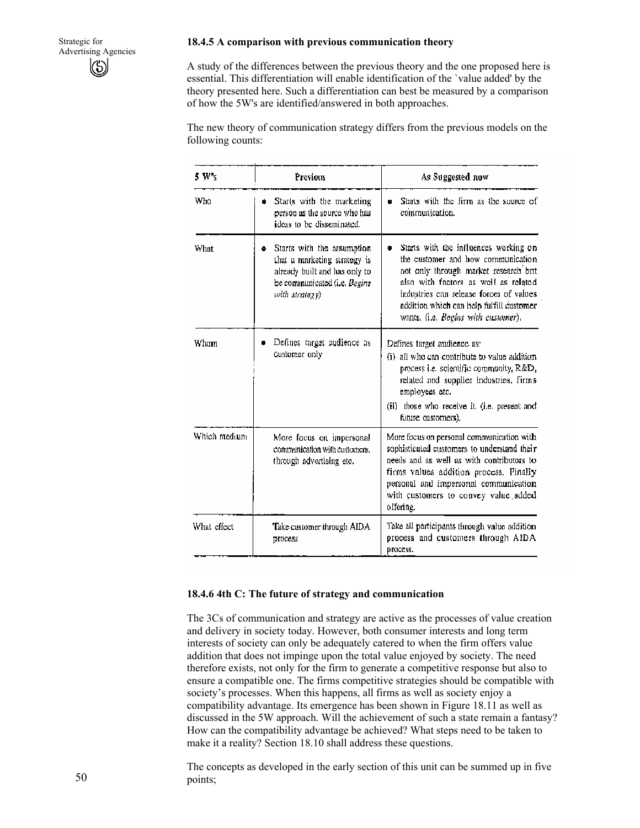#### **18.4.5 A comparison with previous communication theory**

A study of the differences between the previous theory and the one proposed here is essential. This differentiation will enable identification of the `value added' by the theory presented here. Such a differentiation can best be measured by a comparison of how the 5W's are identified/answered in both approaches.

The new theory of communication strategy differs from the previous models on the following counts:

| 5 W <sub>s</sub>                                                                                                                                           | Previous                                                                                    | As Suggested now                                                                                                                                                                                                                                                                           |  |
|------------------------------------------------------------------------------------------------------------------------------------------------------------|---------------------------------------------------------------------------------------------|--------------------------------------------------------------------------------------------------------------------------------------------------------------------------------------------------------------------------------------------------------------------------------------------|--|
| Who                                                                                                                                                        | Starts with the marketing<br>۰<br>person as the source who has<br>ideas to be disseminated. | Starts with the firm as the source of<br>۰<br>communication.                                                                                                                                                                                                                               |  |
| What<br>Starts with the assumption<br>۰<br>that a marketing strategy is<br>already built and has only to<br>be communicated (i.e. Begins<br>with strategy) |                                                                                             | Starts with the influences working on<br>the customer and how communication.<br>not only through market research but<br>also with factors as well as related<br>industries can release forces of values<br>addition which can help fulfill customer<br>wants. (i.e. Begins with customer). |  |
| Whom                                                                                                                                                       | Defines target audience as<br>customer only                                                 | Defines target audience as:<br>(i) all who can contribute to value addition<br>process i.e. scientific community, R&D,<br>related and supplier industries, firms<br>employees etc.<br>(ii) those who receive it. (i.e. present and<br>future customers),                                   |  |
| Which medium<br>More focus on impersonal<br>communication with customers.<br>through advertising etc.                                                      |                                                                                             | More focus on personal communication with<br>sophisticated customers to understand their<br>needs and as well as with contributors to<br>firms values addition process. Finally<br>personal and impersonal communication<br>with customers to convey value added<br>offering.              |  |
| What effect                                                                                                                                                | Take customer through AIDA<br>process                                                       | Take all participants through value addition<br>process and customers through AIDA<br>process.                                                                                                                                                                                             |  |

#### **18.4.6 4th C: The future of strategy and communication**

The 3Cs of communication and strategy are active as the processes of value creation and delivery in society today. However, both consumer interests and long term interests of society can only be adequately catered to when the firm offers value addition that does not impinge upon the total value enjoyed by society. The need therefore exists, not only for the firm to generate a competitive response but also to ensure a compatible one. The firms competitive strategies should be compatible with society's processes. When this happens, all firms as well as society enjoy a compatibility advantage. Its emergence has been shown in Figure 18.11 as well as discussed in the 5W approach. Will the achievement of such a state remain a fantasy? How can the compatibility advantage be achieved? What steps need to be taken to make it a reality? Section 18.10 shall address these questions.

The concepts as developed in the early section of this unit can be summed up in five points;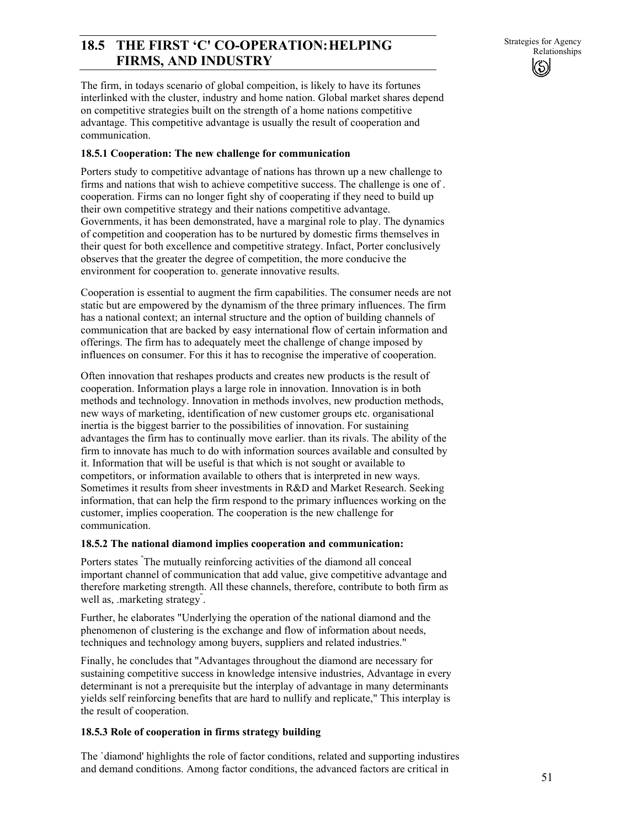# **18.5 THE FIRST 'C' CO-OPERATION: HELPING** Strategies for Agency **FIRMS, AND INDUSTRY**

The firm, in todays scenario of global compeition, is likely to have its fortunes interlinked with the cluster, industry and home nation. Global market shares depend on competitive strategies built on the strength of a home nations competitive advantage. This competitive advantage is usually the result of cooperation and communication.

### **18.5.1 Cooperation: The new challenge for communication**

Porters study to competitive advantage of nations has thrown up a new challenge to firms and nations that wish to achieve competitive success. The challenge is one of . cooperation. Firms can no longer fight shy of cooperating if they need to build up their own competitive strategy and their nations competitive advantage. Governments, it has been demonstrated, have a marginal role to play. The dynamics of competition and cooperation has to be nurtured by domestic firms themselves in their quest for both excellence and competitive strategy. Infact, Porter conclusively observes that the greater the degree of competition, the more conducive the environment for cooperation to. generate innovative results.

Cooperation is essential to augment the firm capabilities. The consumer needs are not static but are empowered by the dynamism of the three primary influences. The firm has a national context; an internal structure and the option of building channels of communication that are backed by easy international flow of certain information and offerings. The firm has to adequately meet the challenge of change imposed by influences on consumer. For this it has to recognise the imperative of cooperation.

Often innovation that reshapes products and creates new products is the result of cooperation. Information plays a large role in innovation. Innovation is in both methods and technology. Innovation in methods involves, new production methods, new ways of marketing, identification of new customer groups etc. organisational inertia is the biggest barrier to the possibilities of innovation. For sustaining advantages the firm has to continually move earlier. than its rivals. The ability of the firm to innovate has much to do with information sources available and consulted by it. Information that will be useful is that which is not sought or available to competitors, or information available to others that is interpreted in new ways. Sometimes it results from sheer investments in R&D and Market Research. Seeking information, that can help the firm respond to the primary influences working on the customer, implies cooperation. The cooperation is the new challenge for communication.

### **18.5.2 The national diamond implies cooperation and communication:**

Porters states " The mutually reinforcing activities of the diamond all conceal important channel of communication that add value, give competitive advantage and therefore marketing strength. All these channels, therefore, contribute to both firm as well as, .marketing strategy" .

Further, he elaborates "Underlying the operation of the national diamond and the phenomenon of clustering is the exchange and flow of information about needs, techniques and technology among buyers, suppliers and related industries."

Finally, he concludes that "Advantages throughout the diamond are necessary for sustaining competitive success in knowledge intensive industries, Advantage in every determinant is not a prerequisite but the interplay of advantage in many determinants yields self reinforcing benefits that are hard to nullify and replicate," This interplay is the result of cooperation.

### **18.5.3 Role of cooperation in firms strategy building**

The `diamond' highlights the role of factor conditions, related and supporting industires and demand conditions. Among factor conditions, the advanced factors are critical in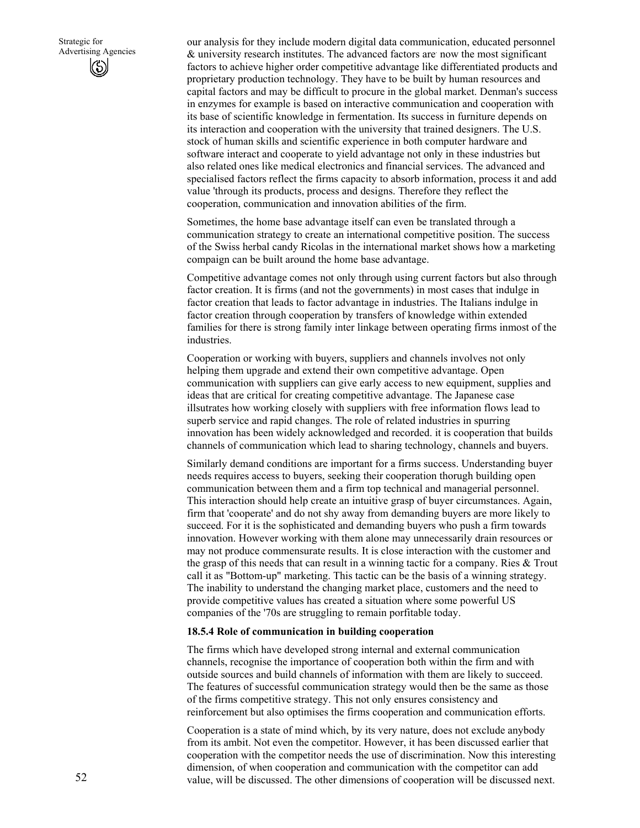our analysis for they include modern digital data communication, educated personnel & university research institutes. The advanced factors are. now the most significant factors to achieve higher order competitive advantage like differentiated products and proprietary production technology. They have to be built by human resources and capital factors and may be difficult to procure in the global market. Denman's success in enzymes for example is based on interactive communication and cooperation with its base of scientific knowledge in fermentation. Its success in furniture depends on its interaction and cooperation with the university that trained designers. The U.S. stock of human skills and scientific experience in both computer hardware and software interact and cooperate to yield advantage not only in these industries but also related ones like medical electronics and financial services. The advanced and specialised factors reflect the firms capacity to absorb information, process it and add value 'through its products, process and designs. Therefore they reflect the cooperation, communication and innovation abilities of the firm.

Sometimes, the home base advantage itself can even be translated through a communication strategy to create an international competitive position. The success of the Swiss herbal candy Ricolas in the international market shows how a marketing compaign can be built around the home base advantage.

Competitive advantage comes not only through using current factors but also through factor creation. It is firms (and not the governments) in most cases that indulge in factor creation that leads to factor advantage in industries. The Italians indulge in factor creation through cooperation by transfers of knowledge within extended families for there is strong family inter linkage between operating firms inmost of the industries.

Cooperation or working with buyers, suppliers and channels involves not only helping them upgrade and extend their own competitive advantage. Open communication with suppliers can give early access to new equipment, supplies and ideas that are critical for creating competitive advantage. The Japanese case illsutrates how working closely with suppliers with free information flows lead to superb service and rapid changes. The role of related industries in spurring innovation has been widely acknowledged and recorded. it is cooperation that builds channels of communication which lead to sharing technology, channels and buyers.

Similarly demand conditions are important for a firms success. Understanding buyer needs requires access to buyers, seeking their cooperation thorugh building open communication between them and a firm top technical and managerial personnel. This interaction should help create an intuitive grasp of buyer circumstances. Again, firm that 'cooperate' and do not shy away from demanding buyers are more likely to succeed. For it is the sophisticated and demanding buyers who push a firm towards innovation. However working with them alone may unnecessarily drain resources or may not produce commensurate results. It is close interaction with the customer and the grasp of this needs that can result in a winning tactic for a company. Ries & Trout call it as "Bottom-up" marketing. This tactic can be the basis of a winning strategy. The inability to understand the changing market place, customers and the need to provide competitive values has created a situation where some powerful US companies of the '70s are struggling to remain porfitable today.

#### **18.5.4 Role of communication in building cooperation**

The firms which have developed strong internal and external communication channels, recognise the importance of cooperation both within the firm and with outside sources and build channels of information with them are likely to succeed. The features of successful communication strategy would then be the same as those of the firms competitive strategy. This not only ensures consistency and reinforcement but also optimises the firms cooperation and communication efforts.

Cooperation is a state of mind which, by its very nature, does not exclude anybody from its ambit. Not even the competitor. However, it has been discussed earlier that cooperation with the competitor needs the use of discrimination. Now this interesting dimension, of when cooperation and communication with the competitor can add value, will be discussed. The other dimensions of cooperation will be discussed next.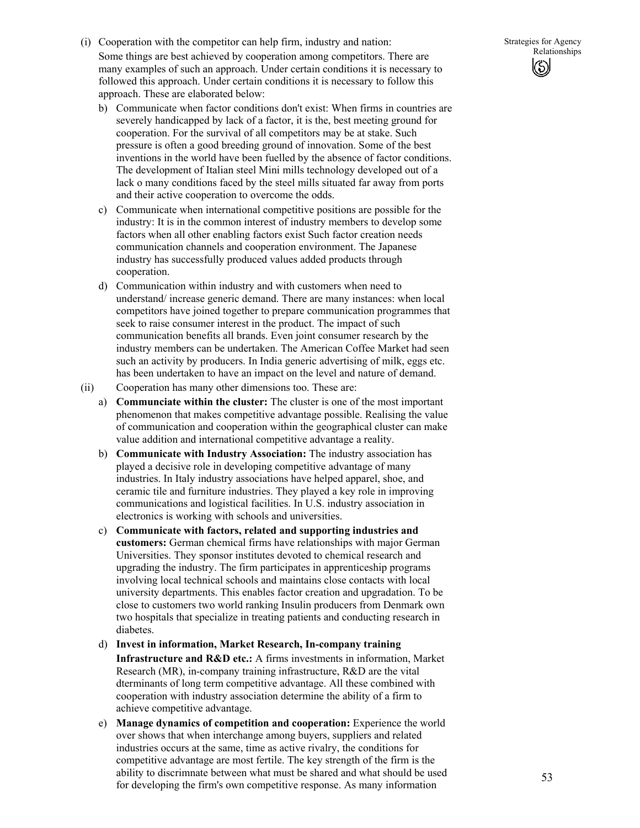- (i) Cooperation with the competitor can help firm, industry and nation: Some things are best achieved by cooperation among competitors. There are many examples of such an approach. Under certain conditions it is necessary to followed this approach. Under certain conditions it is necessary to follow this approach. These are elaborated below:
	- b) Communicate when factor conditions don't exist: When firms in countries are severely handicapped by lack of a factor, it is the, best meeting ground for cooperation. For the survival of all competitors may be at stake. Such pressure is often a good breeding ground of innovation. Some of the best inventions in the world have been fuelled by the absence of factor conditions. The development of Italian steel Mini mills technology developed out of a lack o many conditions faced by the steel mills situated far away from ports and their active cooperation to overcome the odds.
	- c) Communicate when international competitive positions are possible for the industry: It is in the common interest of industry members to develop some factors when all other enabling factors exist Such factor creation needs communication channels and cooperation environment. The Japanese industry has successfully produced values added products through cooperation.
	- d) Communication within industry and with customers when need to understand/ increase generic demand. There are many instances: when local competitors have joined together to prepare communication programmes that seek to raise consumer interest in the product. The impact of such communication benefits all brands. Even joint consumer research by the industry members can be undertaken. The American Coffee Market had seen such an activity by producers. In India generic advertising of milk, eggs etc. has been undertaken to have an impact on the level and nature of demand.
- (ii) Cooperation has many other dimensions too. These are:
	- a) **Communciate within the cluster:** The cluster is one of the most important phenomenon that makes competitive advantage possible. Realising the value of communication and cooperation within the geographical cluster can make value addition and international competitive advantage a reality.
	- b) **Communicate with Industry Association:** The industry association has played a decisive role in developing competitive advantage of many industries. In Italy industry associations have helped apparel, shoe, and ceramic tile and furniture industries. They played a key role in improving communications and logistical facilities. In U.S. industry association in electronics is working with schools and universities.
	- c) **Communicate with factors, related and supporting industries and customers:** German chemical firms have relationships with major German Universities. They sponsor institutes devoted to chemical research and upgrading the industry. The firm participates in apprenticeship programs involving local technical schools and maintains close contacts with local university departments. This enables factor creation and upgradation. To be close to customers two world ranking Insulin producers from Denmark own two hospitals that specialize in treating patients and conducting research in diabetes.
	- d) **Invest in information, Market Research, In-company training Infrastructure and R&D etc.:** A firms investments in information, Market Research (MR), in-company training infrastructure, R&D are the vital dterminants of long term competitive advantage. All these combined with cooperation with industry association determine the ability of a firm to achieve competitive advantage.
	- e) **Manage dynamics of competition and cooperation:** Experience the world over shows that when interchange among buyers, suppliers and related industries occurs at the same, time as active rivalry, the conditions for competitive advantage are most fertile. The key strength of the firm is the ability to discrimnate between what must be shared and what should be used for developing the firm's own competitive response. As many information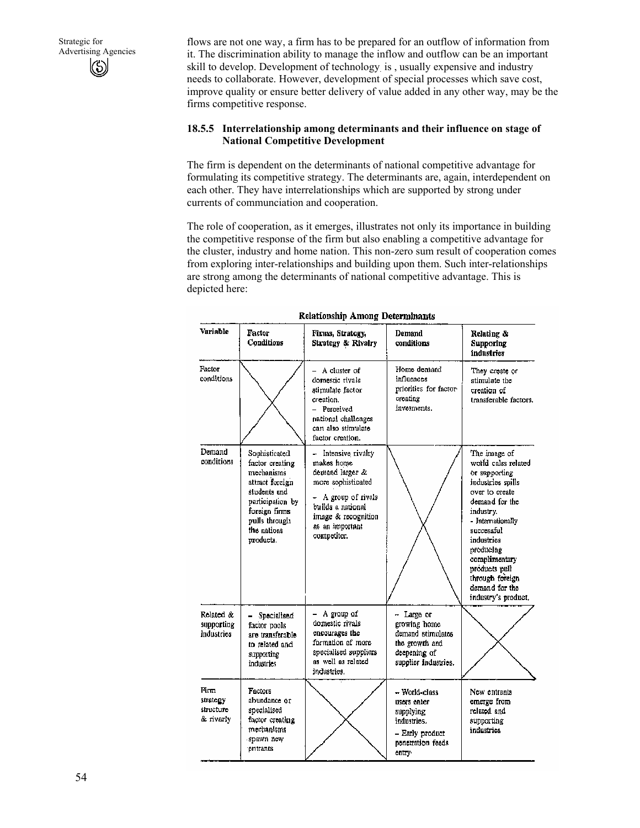flows are not one way, a firm has to be prepared for an outflow of information from it. The discrimination ability to manage the inflow and outflow can be an important skill to develop. Development of technology. is , usually expensive and industry needs to collaborate. However, development of special processes which save cost, improve quality or ensure better delivery of value added in any other way, may be the firms competitive response.

### **18.5.5 Interrelationship among determinants and their influence on stage of National Competitive Development**

The firm is dependent on the determinants of national competitive advantage for formulating its competitive strategy. The determinants are, again, interdependent on each other. They have interrelationships which are supported by strong under currents of communciation and cooperation.

The role of cooperation, as it emerges, illustrates not only its importance in building the competitive response of the firm but also enabling a competitive advantage for the cluster, industry and home nation. This non-zero sum result of cooperation comes from exploring inter-relationships and building upon them. Such inter-relationships are strong among the determinants of national competitive advantage. This is depicted here:

| <b>Variable</b>                            | Factor<br>Conditions                                                                                                                                                | Firms, Strategy,<br>Strategy & Rivalry                                                                                                                                        | Demand<br>conditions                                                                                       | Relating &<br>Supporing<br>industries                                                                                                                                                                                                                                                  |
|--------------------------------------------|---------------------------------------------------------------------------------------------------------------------------------------------------------------------|-------------------------------------------------------------------------------------------------------------------------------------------------------------------------------|------------------------------------------------------------------------------------------------------------|----------------------------------------------------------------------------------------------------------------------------------------------------------------------------------------------------------------------------------------------------------------------------------------|
| Factor<br>conditions                       |                                                                                                                                                                     | $-$ A cluster of<br>domestic rivals<br>stimulate factor<br>creation.<br>- Perceived<br>national challenges<br>can also stimulate<br>factor creation.                          | Home demand<br>influences<br>priorities for factor-<br>creating<br>invesments.                             | They create or<br>stimulate the<br>creation of<br>transferable factors.                                                                                                                                                                                                                |
| Demand<br>conditions                       | Sophisticated<br>factor creating<br>mechanisms<br>attract forcien<br>students and<br>participation by<br>foreign firms<br>pulls through<br>the nations<br>products. | Intensive rivalry<br>makes home<br>demand larger &<br>more sophisticated<br>- A group of rivals<br>builds a national<br>image & recognition<br>as an important<br>competitor. |                                                                                                            | The image of<br>wotld calss related<br>or supporting<br>industries spills<br>over to create<br>demand for the<br>industry.<br>- Internationally<br>successful<br>industries<br>producing<br>complimentary<br>products pull<br>through foreign<br>demand for the<br>industry's product, |
| Related &<br>supporting<br>industries      | Specialisad<br>factor pools<br>are transferable.<br>to related and<br>supporting<br>industries                                                                      | - A group of<br>domestic rivals<br>encourages the<br>formation of more<br>specialised suppliers<br>as well as related<br>industries.                                          | - Large or<br>growing home<br>demand stimulates<br>the growth and<br>deepening of<br>supplier industries.  |                                                                                                                                                                                                                                                                                        |
| Firm<br>strategy<br>structure<br>& rivarly | Factors<br>abundance or<br>specialised<br>factor creating<br>mechanisms<br>spawn new<br>entrants                                                                    |                                                                                                                                                                               | – World-class<br>users enter<br>supplying<br>industries.<br>- Early product<br>penetration feeds<br>entry. | New entrants<br>emerge from<br>related and<br>supporting<br>industries                                                                                                                                                                                                                 |

**Relationship Among Determinants**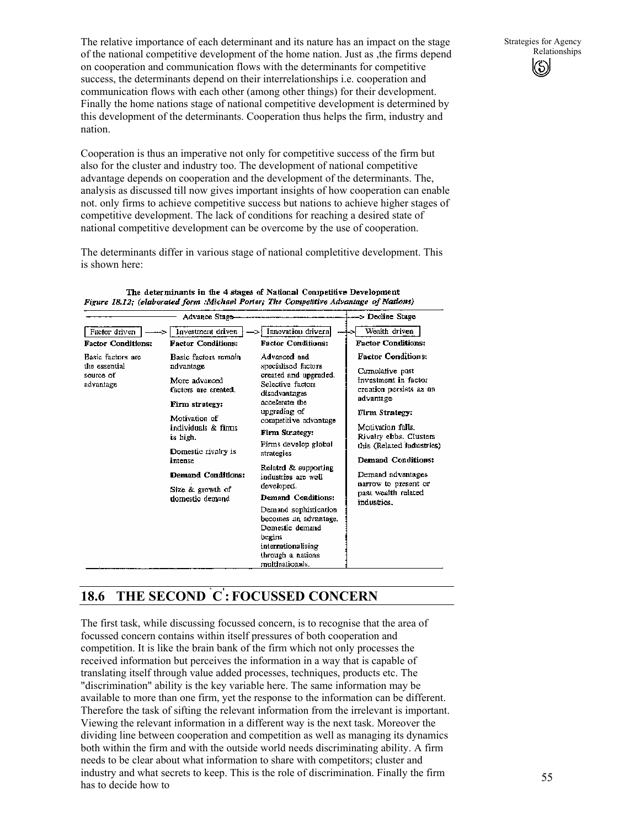The relative importance of each determinant and its nature has an impact on the stage of the national competitive development of the home nation. Just as ,the firms depend on cooperation and communication flows with the determinants for competitive success, the determinants depend on their interrelationships i.e. cooperation and communication flows with each other (among other things) for their development. Finally the home nations stage of national competitive development is determined by this development of the determinants. Cooperation thus helps the firm, industry and nation.

Cooperation is thus an imperative not only for competitive success of the firm but also for the cluster and industry too. The development of national competitive advantage depends on cooperation and the development of the determinants. The, analysis as discussed till now gives important insights of how cooperation can enable not. only firms to achieve competitive success but nations to achieve higher stages of competitive development. The lack of conditions for reaching a desired state of national competitive development can be overcome by the use of cooperation.

The determinants differ in various stage of national completitive development. This is shown here:

|                                                              | Advance Stage-                                                                                                                                                                                                                                         |                                                                                                                                                                                                                                                                                                                                                                                                                                                               | -> Decline Stage                                                                                                                                                                                                                                                                                                    |
|--------------------------------------------------------------|--------------------------------------------------------------------------------------------------------------------------------------------------------------------------------------------------------------------------------------------------------|---------------------------------------------------------------------------------------------------------------------------------------------------------------------------------------------------------------------------------------------------------------------------------------------------------------------------------------------------------------------------------------------------------------------------------------------------------------|---------------------------------------------------------------------------------------------------------------------------------------------------------------------------------------------------------------------------------------------------------------------------------------------------------------------|
| Factor driven<br><b>Factor Conditions:</b>                   | Investment driven<br><b>Factor Conditions:</b>                                                                                                                                                                                                         | Innovation drivern <br><b>Factor Conditions:</b>                                                                                                                                                                                                                                                                                                                                                                                                              | Wealth driven<br><b>Factor Conditions:</b>                                                                                                                                                                                                                                                                          |
| Basic factors are<br>the essential<br>source of<br>advantage | Basic factors remain<br>advantage<br>More advanced<br>factors are created.<br>Firm strategy:<br>Motivation of<br>individuals & firms<br>is high.<br>Domestic rivalry is<br>intense<br><b>Demand Conditions:</b><br>Size & growth of<br>domestic demand | Advanced and<br>specialised factors<br>created and upgraded.<br>Selective factors<br>disadvantages<br>accelerate the<br>upgrading of<br>competitive advantage<br>Firm Strategy:<br>Firms develop global<br>strategies<br>Related & supporting<br>industries are well.<br>developed.<br><b>Demand Conditions:</b><br>Demand sophistication<br>becomes an advantage,<br>Domestic demand<br>begins<br>internationalising<br>through a nations<br>multinationals. | <b>Factor Conditions:</b><br>Cumulative past<br>investment in factor<br>creation persists as an<br>advantage<br>Firm Strategy:<br>Motivation falls.<br>Rivalry ebbs. Clusters<br>this (Related industries)<br>Demand Conditions:<br>Demand advantages<br>narrow to present or<br>past wealth related<br>industries. |

The determinants in the 4 stages of National Competitive Development Figure 18.12: (elaborated form Michael Porter: The Competitive Advantage of Nations)

# **18.6 THE SECOND ` C' : FOCUSSED CONCERN**

The first task, while discussing focussed concern, is to recognise that the area of focussed concern contains within itself pressures of both cooperation and competition. It is like the brain bank of the firm which not only processes the received information but perceives the information in a way that is capable of translating itself through value added processes, techniques, products etc. The "discrimination" ability is the key variable here. The same information may be available to more than one firm, yet the response to the information can be different. Therefore the task of sifting the relevant information from the irrelevant is important. Viewing the relevant information in a different way is the next task. Moreover the dividing line between cooperation and competition as well as managing its dynamics both within the firm and with the outside world needs discriminating ability. A firm needs to be clear about what information to share with competitors; cluster and industry and what secrets to keep. This is the role of discrimination. Finally the firm has to decide how to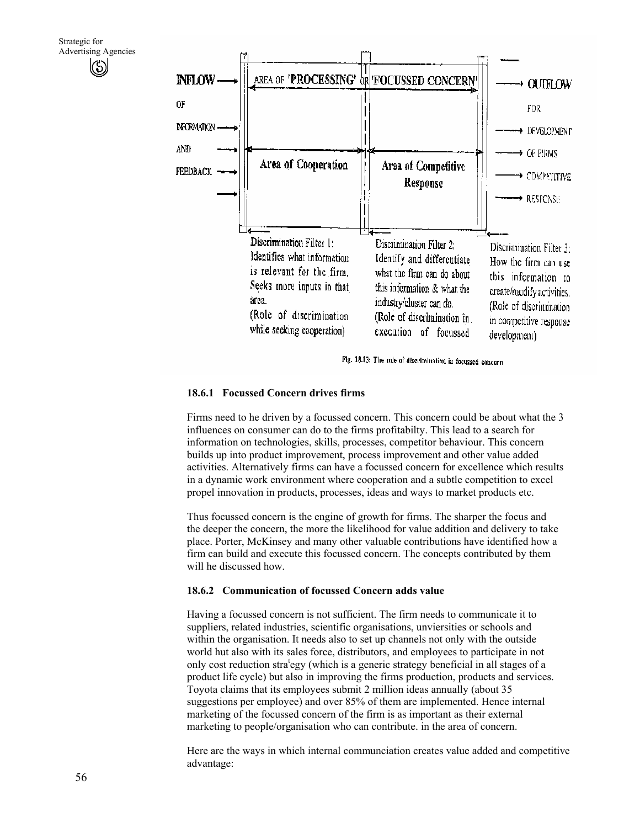

Fig. 18.13: The role of discrimination in focussed concern

#### **18.6.1 Focussed Concern drives firms**

Firms need to he driven by a focussed concern. This concern could be about what the 3 influences on consumer can do to the firms profitabilty. This lead to a search for information on technologies, skills, processes, competitor behaviour. This concern builds up into product improvement, process improvement and other value added activities. Alternatively firms can have a focussed concern for excellence which results in a dynamic work environment where cooperation and a subtle competition to excel propel innovation in products, processes, ideas and ways to market products etc.

Thus focussed concern is the engine of growth for firms. The sharper the focus and the deeper the concern, the more the likelihood for value addition and delivery to take place. Porter, McKinsey and many other valuable contributions have identified how a firm can build and execute this focussed concern. The concepts contributed by them will he discussed how.

#### **18.6.2 Communication of focussed Concern adds value**

Having a focussed concern is not sufficient. The firm needs to communicate it to suppliers, related industries, scientific organisations, unviersities or schools and within the organisation. It needs also to set up channels not only with the outside world hut also with its sales force, distributors, and employees to participate in not only cost reduction strat egy (which is a generic strategy beneficial in all stages of a product life cycle) but also in improving the firms production, products and services. Toyota claims that its employees submit 2 million ideas annually (about 35 suggestions per employee) and over 85% of them are implemented. Hence internal marketing of the focussed concern of the firm is as important as their external marketing to people/organisation who can contribute. in the area of concern.

Here are the ways in which internal communciation creates value added and competitive advantage: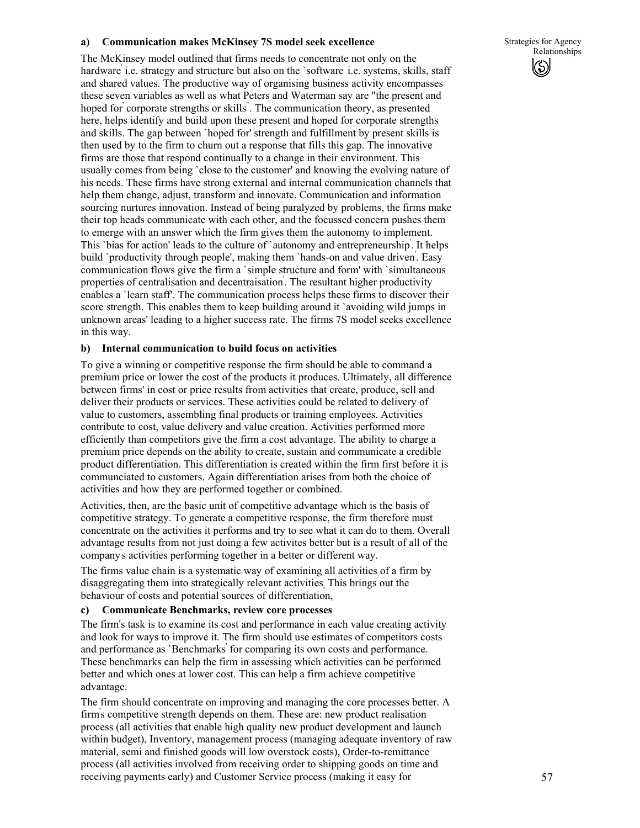### **a) Communication makes McKinsey 7S model seek excellence**

The McKinsey model outlined that firms needs to concentrate not only on the hardware' i.e. strategy and structure but also on the `software' i.e. systems, skills, staff and shared values. The productive way of organising business activity encompasses these seven variables as well as what Peters and Waterman say are "the present and hoped for' corporate strengths or skills" . The communication theory, as presented here, helps identify and build upon these present and hoped for corporate strengths and skills. The gap between `hoped for' strength and fulfillment by present skills is then used by to the firm to churn out a response that fills this gap. The innovative firms are those that respond continually to a change in their environment. This usually comes from being `close to the customer' and knowing the evolving nature of his needs. These firms have strong external and internal communication channels that help them change, adjust, transform and innovate. Communication and information sourcing nurtures innovation. Instead of being paralyzed by problems, the firms make their top heads communicate with each other, and the focussed concern pushes them to emerge with an answer which the firm gives them the autonomy to implement. This 'bias for action' leads to the culture of 'autonomy and entrepreneurship. It helps build `productivity through people', making them `hands-on and value driven' . Easy communication flows give the firm a `simple structure and form' with `simultaneous properties of centralisation and decentraisation' . The resultant higher productivity enables a `learn staff'. The communication process helps these firms to discover their score strength. This enables them to keep building around it `avoiding wild jumps in unknown areas' leading to a higher success rate. The firms 7S model seeks excellence in this way.

#### **b) Internal communication to build focus on activities**

To give a winning or competitive response the firm should be able to command a premium price or lower the cost of the products it produces. Ultimately, all difference between firms' in cost or price results from activities that create, produce, sell and deliver their products or services. These activities could be related to delivery of value to customers, assembling final products or training employees. Activities contribute to cost, value delivery and value creation. Activities performed more efficiently than competitors give the firm a cost advantage. The ability to charge a premium price depends on the ability to create, sustain and communicate a credible product differentiation. This differentiation is created within the firm first before it is communciated to customers. Again differentiation arises from both the choice of activities and how they are performed together or combined.

Activities, then, are the basic unit of competitive advantage which is the basis of competitive strategy. To generate a competitive response, the firm therefore must concentrate on the activities it performs and try to see what it can do to them. Overall advantage results from not just doing a few activites better but is a result of all of the company' s activities performing together in a better or different way.

The firms value chain is a systematic way of examining all activities of a firm by disaggregating them into strategically relevant activities; This brings out the behaviour of costs and potential sources of differentiation,

### **c) Communicate Benchmarks, review core processes**

The firm's task is to examine its cost and performance in each value creating activity and look for ways to improve it. The firm should use estimates of competitors costs and performance as `Benchmarks' for comparing its own costs and performance. These benchmarks can help the firm in assessing which activities can be performed better and which ones at lower cost. This can help a firm achieve competitive advantage.

The firm should concentrate on improving and managing the core processes better. A firm's competitive strength depends on them. These are: new product realisation process (all activities that enable high quality new product development and launch within budget), Inventory, management process (managing adequate inventory of raw material, semi and finished goods will low overstock costs), Order-to-remittance process (all activities involved from receiving order to shipping goods on time and receiving payments early) and Customer Service process (making it easy for

Strategies for Agency Relationships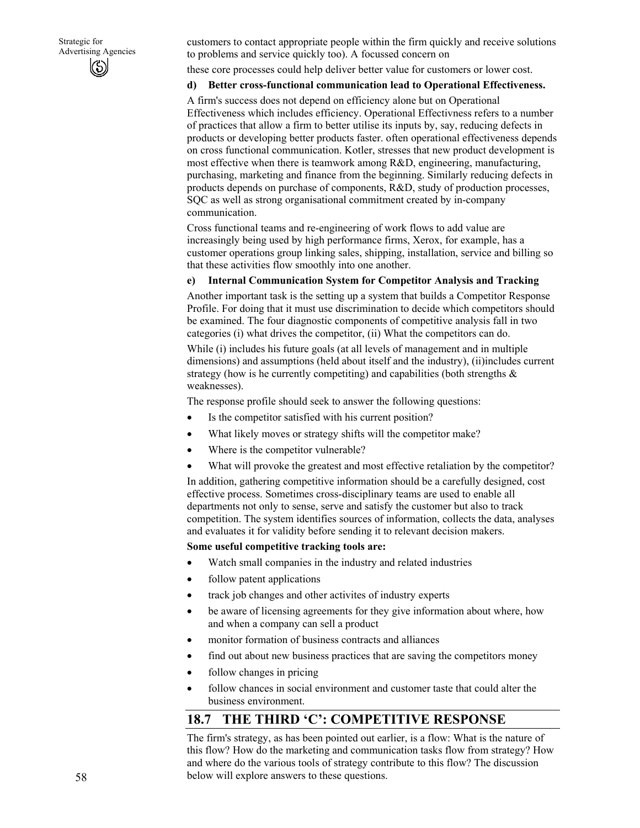customers to contact appropriate people within the firm quickly and receive solutions to problems and service quickly too). A focussed concern on

these core processes could help deliver better value for customers or lower cost.

### **d) Better cross-functional communication lead to Operational Effectiveness.**

A firm's success does not depend on efficiency alone but on Operational Effectiveness which includes efficiency. Operational Effectivness refers to a number of practices that allow a firm to better utilise its inputs by, say, reducing defects in products or developing better products faster. often operational effectiveness depends on cross functional communication. Kotler, stresses that new product development is most effective when there is teamwork among R&D, engineering, manufacturing, purchasing, marketing and finance from the beginning. Similarly reducing defects in products depends on purchase of components, R&D, study of production processes, SQC as well as strong organisational commitment created by in-company communication.

Cross functional teams and re-engineering of work flows to add value are increasingly being used by high performance firms, Xerox, for example, has a customer operations group linking sales, shipping, installation, service and billing so that these activities flow smoothly into one another.

# **e) Internal Communication System for Competitor Analysis and Tracking**

Another important task is the setting up a system that builds a Competitor Response Profile. For doing that it must use discrimination to decide which competitors should be examined. The four diagnostic components of competitive analysis fall in two categories (i) what drives the competitor, (ii) What the competitors can do. While (i) includes his future goals (at all levels of management and in multiple dimensions) and assumptions (held about itself and the industry), (ii)includes current strategy (how is he currently competiting) and capabilities (both strengths  $\&$ weaknesses).

The response profile should seek to answer the following questions:

- Is the competitor satisfied with his current position?
- What likely moves or strategy shifts will the competitor make?
- Where is the competitor vulnerable?
- What will provoke the greatest and most effective retaliation by the competitor?

In addition, gathering competitive information should be a carefully designed, cost effective process. Sometimes cross-disciplinary teams are used to enable all departments not only to sense, serve and satisfy the customer but also to track competition. The system identifies sources of information, collects the data, analyses and evaluates it for validity before sending it to relevant decision makers.

### **Some useful competitive tracking tools are:**

- Watch small companies in the industry and related industries
- follow patent applications
- track job changes and other activites of industry experts
- be aware of licensing agreements for they give information about where, how and when a company can sell a product
- monitor formation of business contracts and alliances
- find out about new business practices that are saving the competitors money
- follow changes in pricing
- follow chances in social environment and customer taste that could alter the business environment.

# **18.7 THE THIRD 'C': COMPETITIVE RESPONSE**

The firm's strategy, as has been pointed out earlier, is a flow: What is the nature of this flow? How do the marketing and communication tasks flow from strategy? How and where do the various tools of strategy contribute to this flow? The discussion below will explore answers to these questions.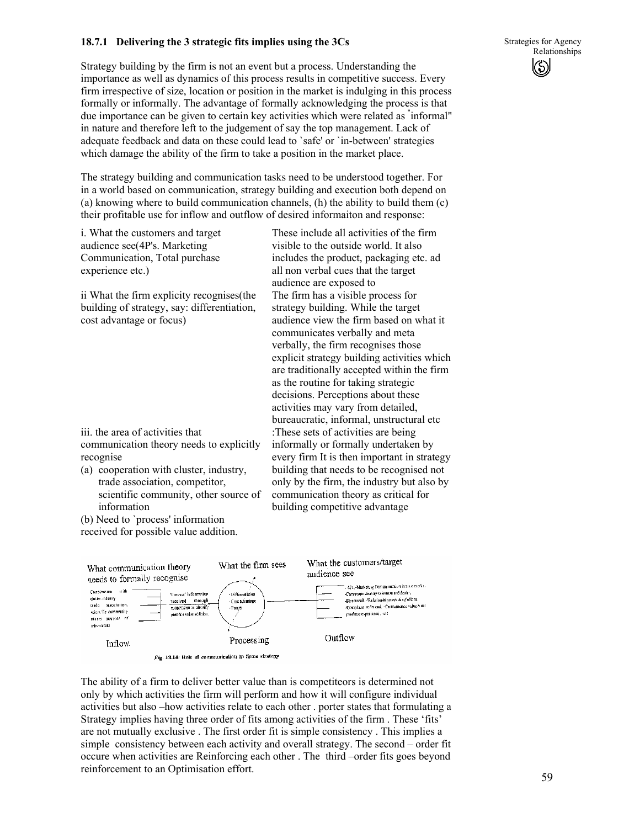# **18.7.1 Delivering the 3 strategic fits implies using the 3Cs**

Strategy building by the firm is not an event but a process. Understanding the importance as well as dynamics of this process results in competitive success. Every firm irrespective of size, location or position in the market is indulging in this process formally or informally. The advantage of formally acknowledging the process is that due importance can be given to certain key activities which were related as " informal" in nature and therefore left to the judgement of say the top management. Lack of adequate feedback and data on these could lead to `safe' or `in-between' strategies which damage the ability of the firm to take a position in the market place.

The strategy building and communication tasks need to be understood together. For in a world based on communication, strategy building and execution both depend on (a) knowing where to build communication channels, (h) the ability to build them (c) their profitable use for inflow and outflow of desired informaiton and response:

i. What the customers and target audience see(4P's. Marketing Communication, Total purchase experience etc.)

ii What the firm explicity recognises(the building of strategy, say: differentiation, cost advantage or focus)

iii. the area of activities that communication theory needs to explicitly recognise

(a) cooperation with cluster, industry, trade association, competitor, scientific community, other source of information

(b) Need to `process' information

received for possible value addition.

These include all activities of the firm visible to the outside world. It also includes the product, packaging etc. ad all non verbal cues that the target audience are exposed to The firm has a visible process for strategy building. While the target audience view the firm based on what it communicates verbally and meta verbally, the firm recognises those explicit strategy building activities which are traditionally accepted within the firm as the routine for taking strategic decisions. Perceptions about these activities may vary from detailed, bureaucratic, informal, unstructural etc :These sets of activities are being informally or formally undertaken by every firm It is then important in strategy building that needs to be recognised not only by the firm, the industry but also by communication theory as critical for building competitive advantage



Fig. 13.14: Role of communication in firms strategy

The ability of a firm to deliver better value than is competiteors is determined not only by which activities the firm will perform and how it will configure individual activities but also –how activities relate to each other . porter states that formulating a Strategy implies having three order of fits among activities of the firm . These 'fits' are not mutually exclusive . The first order fit is simple consistency . This implies a simple consistency between each activity and overall strategy. The second – order fit occure when activities are Reinforcing each other . The third –order fits goes beyond reinforcement to an Optimisation effort.

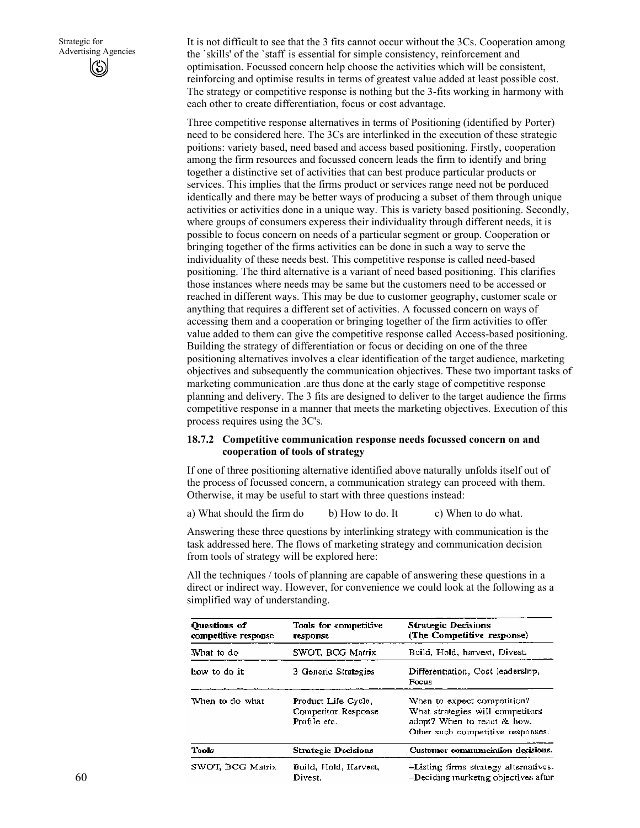It is not difficult to see that the 3 fits cannot occur without the 3Cs. Cooperation among the `skills' of the `staff' is essential for simple consistency, reinforcement and optimisation. Focussed concern help choose the activities which will be consistent, reinforcing and optimise results in terms of greatest value added at least possible cost. The strategy or competitive response is nothing but the 3-fits working in harmony with each other to create differentiation, focus or cost advantage.

Three competitive response alternatives in terms of Positioning (identified by Porter) need to be considered here. The 3Cs are interlinked in the execution of these strategic poitions: variety based, need based and access based positioning. Firstly, cooperation among the firm resources and focussed concern leads the firm to identify and bring together a distinctive set of activities that can best produce particular products or services. This implies that the firms product or services range need not be porduced identically and there may be better ways of producing a subset of them through unique activities or activities done in a unique way. This is variety based positioning. Secondly, where groups of consumers experess their individuality through different needs, it is possible to focus concern on needs of a particular segment or group. Cooperation or bringing together of the firms activities can be done in such a way to serve the individuality of these needs best. This competitive response is called need-based positioning. The third alternative is a variant of need based positioning. This clarifies those instances where needs may be same but the customers need to be accessed or reached in different ways. This may be due to customer geography, customer scale or anything that requires a different set of activities. A focussed concern on ways of accessing them and a cooperation or bringing together of the firm activities to offer value added to them can give the competitive response called Access-based positioning. Building the strategy of differentiation or focus or deciding on one of the three positioning alternatives involves a clear identification of the target audience, marketing objectives and subsequently the communication objectives. These two important tasks of marketing communication .are thus done at the early stage of competitive response planning and delivery. The 3 fits are designed to deliver to the target audience the firms competitive response in a manner that meets the marketing objectives. Execution of this process requires using the 3C's.

### **18.7.2 Competitive communication response needs focussed concern on and cooperation of tools of strategy**

If one of three positioning alternative identified above naturally unfolds itself out of the process of focussed concern, a communication strategy can proceed with them. Otherwise, it may be useful to start with three questions instead:

a) What should the firm do b) How to do. It c) When to do what.

Answering these three questions by interlinking strategy with communication is the task addressed here. The flows of marketing strategy and communication decision from tools of strategy will be explored here:

All the techniques / tools of planning are capable of answering these questions in a direct or indirect way. However, for convenience we could look at the following as a simplified way of understanding.

| <b>Ouestions of</b><br>competitive response          | Tools for competitive<br><b>response</b>                   | <b>Strategic Decisions</b><br>(The Competitive response)                                                                            |  |
|------------------------------------------------------|------------------------------------------------------------|-------------------------------------------------------------------------------------------------------------------------------------|--|
| What to do                                           | SWOT, BCG Matrix                                           | Build, Hold, harvest, Divest.                                                                                                       |  |
| haw to do it.<br>3 Generic Strategies                |                                                            | Differentiation, Cost leadership,<br>Focus                                                                                          |  |
| When to do what                                      | Product Life Cycle,<br>Competitor Response<br>Profile etc. | When to expect competition?<br>What strategies will competitors<br>adopt? When to react & how.<br>Other such competitive responses. |  |
| Tools                                                | <b>Strategic Decisions</b>                                 | Customer communciation decisions.                                                                                                   |  |
| SWOT, BCG Matrix<br>Build, Hold, Harvest,<br>Divest. |                                                            | -Listing firms strategy alternatives.<br>-Deciding marketng objectives after                                                        |  |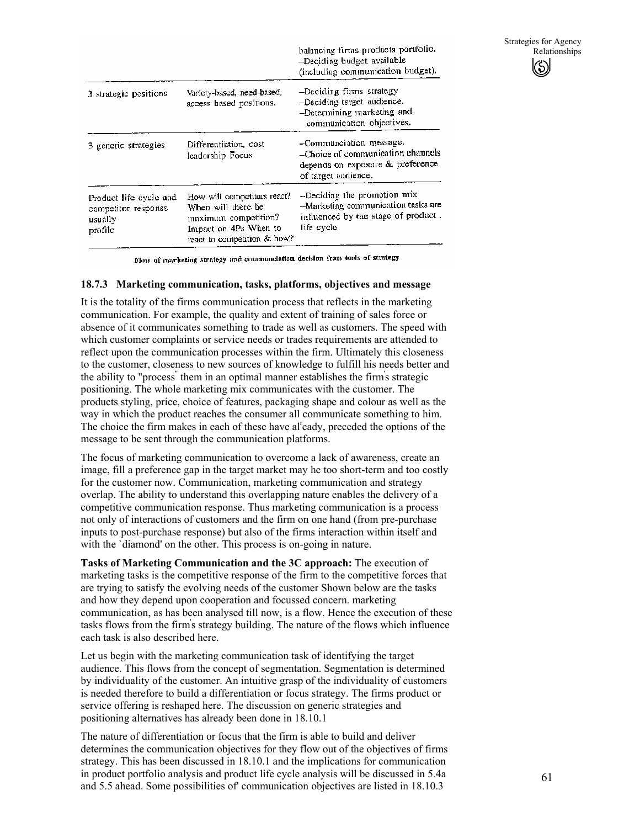|                                                                     |                                                                                                                                   | balancing firms products portfolio.<br>-Deciding budget available<br>(including communication budget).                  |
|---------------------------------------------------------------------|-----------------------------------------------------------------------------------------------------------------------------------|-------------------------------------------------------------------------------------------------------------------------|
| 3 strategic positions                                               | Variety-based, need-based,<br>access based positions.                                                                             | -Deciding firms strategy<br>-Deciding target audience.<br>-Determining marketing and<br>communication objectives.       |
| 3 generic strategies                                                | Differentiation, cost<br>leadership Focus                                                                                         | -Communciation message.<br>-Choice of communication channels<br>depends on exposure & preference<br>of target audience. |
| Product life cycle and<br>competitor response<br>usually<br>profile | How will competitors react?<br>When will there be<br>maximum competition?<br>Impact on 4Ps When to<br>react to competition & how? | -Deciding the promotion mix<br>-Marketing communication tasks are<br>influenced by the stage of product.<br>life cycle  |

Flow of marketing strategy and communciation decision from tools of strategy

#### **18.7.3 Marketing communication, tasks, platforms, objectives and message**

It is the totality of the firms communication process that reflects in the marketing communication. For example, the quality and extent of training of sales force or absence of it communicates something to trade as well as customers. The speed with which customer complaints or service needs or trades requirements are attended to reflect upon the communication processes within the firm. Ultimately this closeness to the customer, closeness to new sources of knowledge to fulfill his needs better and the ability to "process" them in an optimal manner establishes the firm's strategic positioning. The whole marketing mix communicates with the customer. The products styling, price, choice of features, packaging shape and colour as well as the way in which the product reaches the consumer all communicate something to him. The choice the firm makes in each of these have al<sup>r</sup>eady, preceded the options of the message to be sent through the communication platforms.

The focus of marketing communication to overcome a lack of awareness, create an image, fill a preference gap in the target market may he too short-term and too costly for the customer now. Communication, marketing communication and strategy overlap. The ability to understand this overlapping nature enables the delivery of a competitive communication response. Thus marketing communication is a process not only of interactions of customers and the firm on one hand (from pre-purchase inputs to post-purchase response) but also of the firms interaction within itself and with the 'diamond' on the other. This process is on-going in nature.

**Tasks of Marketing Communication and the 3C approach:** The execution of marketing tasks is the competitive response of the firm to the competitive forces that are trying to satisfy the evolving needs of the customer Shown below are the tasks and how they depend upon cooperation and focussed concern. marketing communication, as has been analysed till now, is a flow. Hence the execution of these tasks flows from the firm' s strategy building. The nature of the flows which influence each task is also described here.

Let us begin with the marketing communication task of identifying the target audience. This flows from the concept of segmentation. Segmentation is determined by individuality of the customer. An intuitive grasp of the individuality of customers is needed therefore to build a differentiation or focus strategy. The firms product or service offering is reshaped here. The discussion on generic strategies and positioning alternatives has already been done in 18.10.1

The nature of differentiation or focus that the firm is able to build and deliver determines the communication objectives for they flow out of the objectives of firms strategy. This has been discussed in 18.10.1 and the implications for communication in product portfolio analysis and product life cycle analysis will be discussed in 5.4a and 5.5 ahead. Some possibilities of' communication objectives are listed in 18.10.3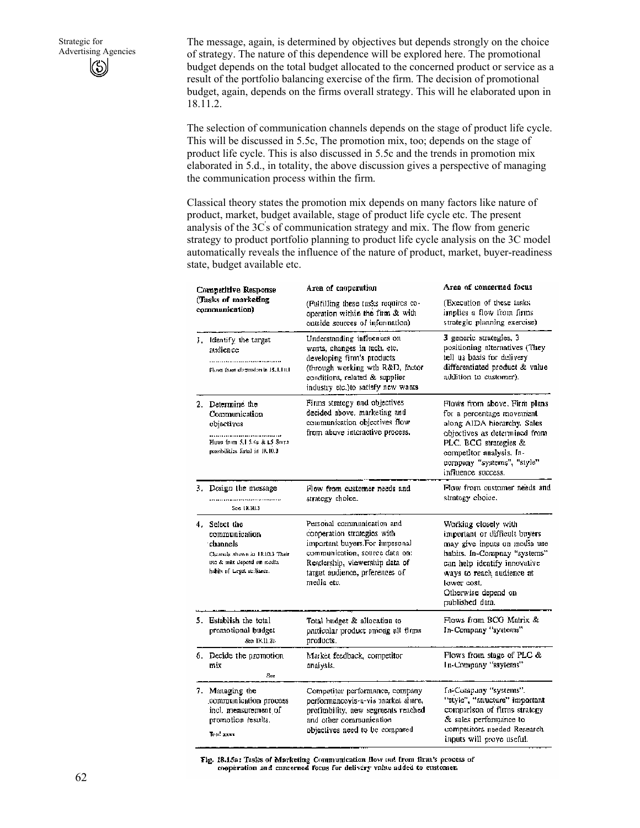The message, again, is determined by objectives but depends strongly on the choice of strategy. The nature of this dependence will be explored here. The promotional budget depends on the total budget allocated to the concerned product or service as a result of the portfolio balancing exercise of the firm. The decision of promotional budget, again, depends on the firms overall strategy. This will he elaborated upon in 18.11.2.

The selection of communication channels depends on the stage of product life cycle. This will be discussed in 5.5c, The promotion mix, too; depends on the stage of product life cycle. This is also discussed in 5.5c and the trends in promotion mix elaborated in 5.d., in totality, the above discussion gives a perspective of managing the communication process within the firm.

Classical theory states the promotion mix depends on many factors like nature of product, market, budget available, stage of product life cycle etc. The present analysis of the 3C' s of communication strategy and mix. The flow from generic strategy to product portfolio planning to product life cycle analysis on the 3C model automatically reveals the influence of the nature of product, market, buyer-readiness state, budget available etc.

| Competitive Response                                                                                    |                                                                                                                                            | Area of cooperation                                                                                                                                                                                             | Area of concerned focus                                                                                                                                                                                                                     |  |
|---------------------------------------------------------------------------------------------------------|--------------------------------------------------------------------------------------------------------------------------------------------|-----------------------------------------------------------------------------------------------------------------------------------------------------------------------------------------------------------------|---------------------------------------------------------------------------------------------------------------------------------------------------------------------------------------------------------------------------------------------|--|
|                                                                                                         | (Tasks of marketing)<br>communication)                                                                                                     | (Fulfilling these tasks requires co-<br>operation within the firm & with<br>ontside sources of information).                                                                                                    | (Execution of these insks)<br>implies a flow from finns.<br>strategic planning exercise).                                                                                                                                                   |  |
|                                                                                                         | I. Identify the target<br>audience<br>Flows than dispossion in 15.1.10.1                                                                   | Understanding influences on<br>wonts, changes in tech, etc.<br>developing firm's products<br>(through working will R&D, factor<br>conditions, related & supplier<br>industry etc.)to satisfy new wants          | 3 generic strategies, 3<br>positioning alternatives (They<br>tell us basis for delivery<br>differentiated product & value<br>addition to customer).                                                                                         |  |
|                                                                                                         | 2. Determine the<br>Communication<br>objectives<br>Flows from S.J 5.4g & LS South<br>possibilities listed in JR10.3                        | Firms strategy and objectives<br>decided above, marketing and<br>communication objectives flow<br>from above interactive process.                                                                               | Flows from above. Firm plans<br>for a percentage movement.<br>along AIDA hierarchy. Sales<br>objectives as determined from<br>PLC. BCG strategies &<br>competitor analysis. In-<br>company "systems", "style"<br>influence, success.        |  |
| 3. Design the mossage<br>See 18,10.3                                                                    |                                                                                                                                            | Flow from customer needs and<br>strategy choice.                                                                                                                                                                | Flow from customer needs and<br>strategy choice.                                                                                                                                                                                            |  |
|                                                                                                         | 4. Select the<br>communication<br>channels:<br>Claimals shown in 18.10.3 Their<br>use & snix depend on media.<br>hahits of Legat actionce. | Personal communication and<br>cooperation strategies with<br>important buyers.For impesonal<br>communication, source data on:<br>Readership, viewership data of<br>target audience, prierences of<br>media etc. | Working closely with<br>important or difficult buyers<br>may give inputs on media use<br>habits. In-Compnay "systems"<br>can help identify innovative<br>ways to reach audience at<br>lower cost,<br>Otherwise depend on<br>published data. |  |
|                                                                                                         | 5. Establish the total<br>promotional budget<br>See 18.11.25                                                                               | Total budget & allocation to<br>particular product among all firms<br>products.                                                                                                                                 | Flows from BCG Matrix &<br>In-Company "systems"                                                                                                                                                                                             |  |
| 6. Decide the promotion.<br>mix<br>See                                                                  |                                                                                                                                            | Market feedback, competitor<br>analysis.                                                                                                                                                                        | Flows from stage of PLC &<br>In-Company "ssytems"                                                                                                                                                                                           |  |
| 7.<br>Managing the<br>communication process<br>incl. measurement of<br>promotion results.<br>Total xxxx |                                                                                                                                            | Competitor performance, company<br>performancovis-a-vis market share,<br>profimbility, new segments reached<br>and other communication<br>objectives need to be compared                                        | In-Company "systems".<br>"style", "suncture" important<br>comparison of firms strategy<br>& sales performance to<br>competitors needed Research.<br>inputs will prove useful.                                                               |  |

Fig. 18.15a: Tasks of Marketing Communication flow out from firm's process of cooperation and concerned focus for delivery value added to customer.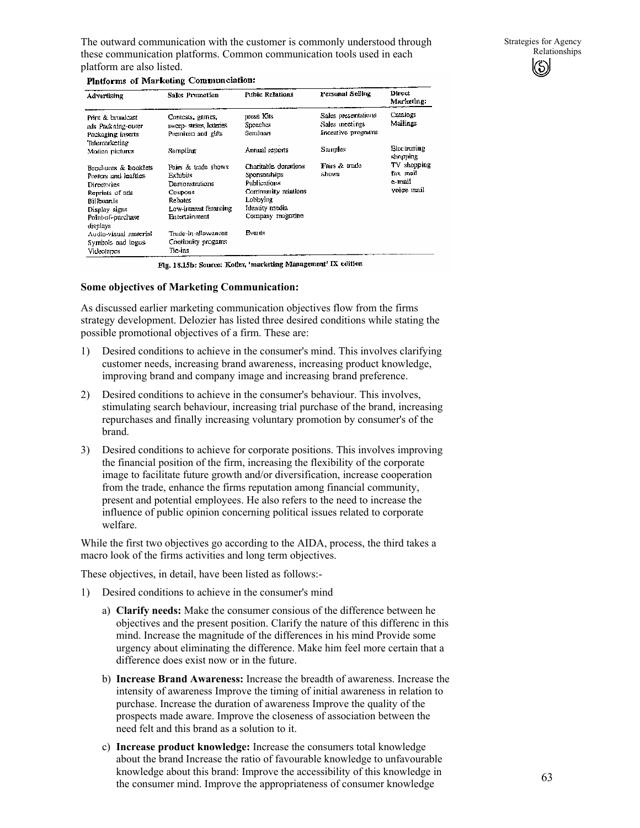The outward communication with the customer is commonly understood through these communication platforms. Common communication tools used in each platform are also listed.

#### Platforms of Marketing Communciation:

| Advertising                                                                                                                                    | Sales Promotion                                                                                                            | <b>Pubic Relations</b>                                                                                                        | Personal Selling                                             | Direct<br>Marketing:                            |
|------------------------------------------------------------------------------------------------------------------------------------------------|----------------------------------------------------------------------------------------------------------------------------|-------------------------------------------------------------------------------------------------------------------------------|--------------------------------------------------------------|-------------------------------------------------|
| Print & broadcast<br>mis Packaing-ower<br>Packaging inserts                                                                                    | Contests, games,<br>sweep-strikes, lotheries<br>Premium and gifts                                                          | press Kits<br>Speeches<br>Seminars                                                                                            | Sales presentations<br>Sales incetings<br>Incentive programs | Camiogs<br>Mailings                             |
| Telensarketing<br>Motion pictures                                                                                                              | Sampling                                                                                                                   | Annual reports                                                                                                                | Samples                                                      | Electroning<br>shopping                         |
| Brochuces & booklets<br>Posters and leaftles<br>Directories<br>Reprints of ads<br>Billboards<br>Display signs<br>Point-of-purchase<br>displays | Fairs & trade shows.<br>Exhibits<br>Demonstrations<br><b>Coupons</b><br>Rehates<br>Low-interest futureing<br>Entertainment | Charitable donations<br>Sponsorships<br>Publications<br>Community relations<br>Lobbying<br>Identity media<br>Company magazine | Fairs & trade<br>shows                                       | TV shopping<br>fax mail<br>e-mail<br>voice unil |
| Audin-visual material<br>Symbols and logos<br>Videotapes                                                                                       | Trade-in-allowances.<br>Continuity progams<br>Tic-ins                                                                      | Events                                                                                                                        |                                                              |                                                 |

Fig. 18.15b: Source: Kotler, 'marketing Management' IX colition

#### **Some objectives of Marketing Communication:**

As discussed earlier marketing communication objectives flow from the firms strategy development. Delozier has listed three desired conditions while stating the possible promotional objectives of a firm. These are:

- 1) Desired conditions to achieve in the consumer's mind. This involves clarifying customer needs, increasing brand awareness, increasing product knowledge, improving brand and company image and increasing brand preference.
- 2) Desired conditions to achieve in the consumer's behaviour. This involves, stimulating search behaviour, increasing trial purchase of the brand, increasing repurchases and finally increasing voluntary promotion by consumer's of the brand.
- 3) Desired conditions to achieve for corporate positions. This involves improving the financial position of the firm, increasing the flexibility of the corporate image to facilitate future growth and/or diversification, increase cooperation from the trade, enhance the firms reputation among financial community, present and potential employees. He also refers to the need to increase the influence of public opinion concerning political issues related to corporate welfare.

While the first two objectives go according to the AIDA, process, the third takes a macro look of the firms activities and long term objectives.

These objectives, in detail, have been listed as follows:-

- 1) Desired conditions to achieve in the consumer's mind
	- a) **Clarify needs:** Make the consumer consious of the difference between he objectives and the present position. Clarify the nature of this differenc in this mind. Increase the magnitude of the differences in his mind Provide some urgency about eliminating the difference. Make him feel more certain that a difference does exist now or in the future.
	- b) **Increase Brand Awareness:** Increase the breadth of awareness. Increase the intensity of awareness Improve the timing of initial awareness in relation to purchase. Increase the duration of awareness Improve the quality of the prospects made aware. Improve the closeness of association between the need felt and this brand as a solution to it.
	- c) **Increase product knowledge:** Increase the consumers total knowledge about the brand Increase the ratio of favourable knowledge to unfavourable knowledge about this brand: Improve the accessibility of this knowledge in the consumer mind. Improve the appropriateness of consumer knowledge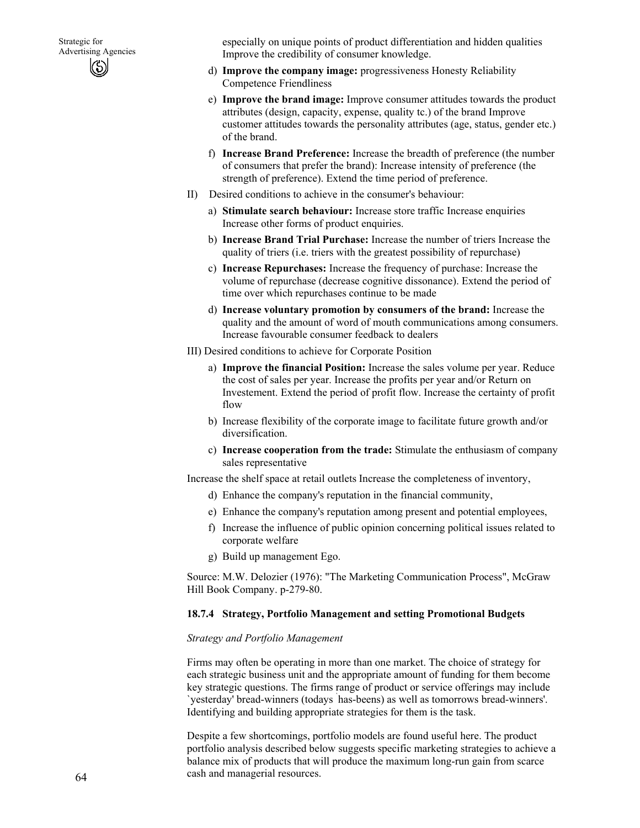especially on unique points of product differentiation and hidden qualities Improve the credibility of consumer knowledge.

- d) **Improve the company image:** progressiveness Honesty Reliability Competence Friendliness
- e) **Improve the brand image:** Improve consumer attitudes towards the product attributes (design, capacity, expense, quality tc.) of the brand Improve customer attitudes towards the personality attributes (age, status, gender etc.) of the brand.
- f) **Increase Brand Preference:** Increase the breadth of preference (the number of consumers that prefer the brand): Increase intensity of preference (the strength of preference). Extend the time period of preference.
- II) Desired conditions to achieve in the consumer's behaviour:
	- a) **Stimulate search behaviour:** Increase store traffic Increase enquiries Increase other forms of product enquiries.
	- b) **Increase Brand Trial Purchase:** Increase the number of triers Increase the quality of triers (i.e. triers with the greatest possibility of repurchase)
	- c) **Increase Repurchases:** Increase the frequency of purchase: Increase the volume of repurchase (decrease cognitive dissonance). Extend the period of time over which repurchases continue to be made
	- d) **Increase voluntary promotion by consumers of the brand:** Increase the quality and the amount of word of mouth communications among consumers. Increase favourable consumer feedback to dealers
- III) Desired conditions to achieve for Corporate Position
	- a) **Improve the financial Position:** Increase the sales volume per year. Reduce the cost of sales per year. Increase the profits per year and/or Return on Investement. Extend the period of profit flow. Increase the certainty of profit flow
	- b) Increase flexibility of the corporate image to facilitate future growth and/or diversification.
	- c) **Increase cooperation from the trade:** Stimulate the enthusiasm of company sales representative

Increase the shelf space at retail outlets Increase the completeness of inventory,

- d) Enhance the company's reputation in the financial community,
- e) Enhance the company's reputation among present and potential employees,
- f) Increase the influence of public opinion concerning political issues related to corporate welfare
- g) Build up management Ego.

Source: M.W. Delozier (1976): "The Marketing Communication Process", McGraw Hill Book Company. p-279-80.

### **18.7.4 Strategy, Portfolio Management and setting Promotional Budgets**

### *Strategy and Portfolio Management*

Firms may often be operating in more than one market. The choice of strategy for each strategic business unit and the appropriate amount of funding for them become key strategic questions. The firms range of product or service offerings may include `yesterday' bread-winners (todays ` has-beens) as well as tomorrows bread-winners'. Identifying and building appropriate strategies for them is the task.

Despite a few shortcomings, portfolio models are found useful here. The product portfolio analysis described below suggests specific marketing strategies to achieve a balance mix of products that will produce the maximum long-run gain from scarce cash and managerial resources.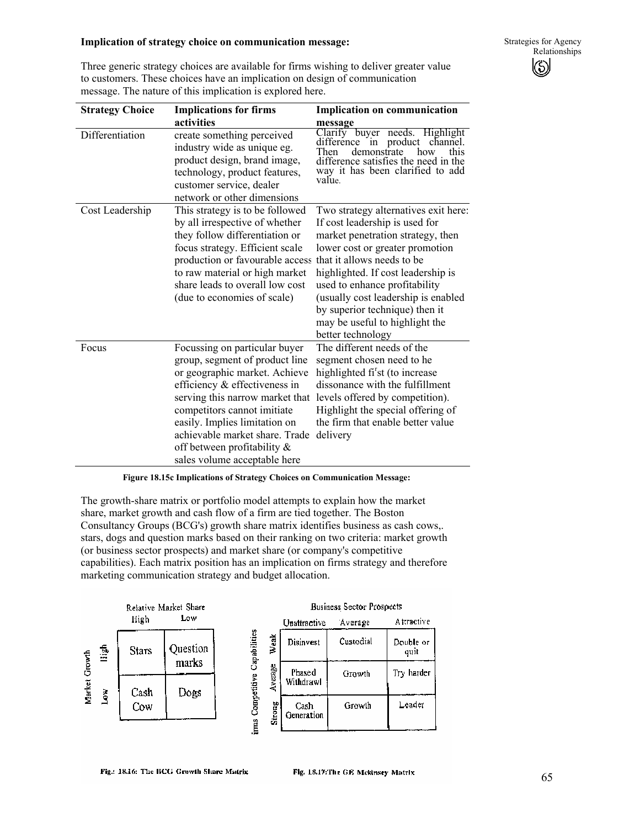#### **Implication of strategy choice on communication message:**

Three generic strategy choices are available for firms wishing to deliver greater value to customers. These choices have an implication on design of communication message. The nature of this implication is explored here.

| <b>Strategy Choice</b> | <b>Implications for firms</b>                                                                                                                                                                                                                                                                                                            | <b>Implication on communication</b>                                                                                                                                                                                                                                                                                                                                                 |  |
|------------------------|------------------------------------------------------------------------------------------------------------------------------------------------------------------------------------------------------------------------------------------------------------------------------------------------------------------------------------------|-------------------------------------------------------------------------------------------------------------------------------------------------------------------------------------------------------------------------------------------------------------------------------------------------------------------------------------------------------------------------------------|--|
|                        | activities                                                                                                                                                                                                                                                                                                                               | message                                                                                                                                                                                                                                                                                                                                                                             |  |
| Differentiation        | create something perceived<br>industry wide as unique eg.<br>product design, brand image,<br>technology, product features,<br>customer service, dealer<br>network or other dimensions                                                                                                                                                    | Clarify buyer needs. Highlight<br>difference in product<br>channel.<br>demonstrate<br>Then<br>how<br>difference satisfies the need in the<br>way it has been clarified to add<br>value.                                                                                                                                                                                             |  |
| Cost Leadership        | This strategy is to be followed<br>by all irrespective of whether<br>they follow differentiation or<br>focus strategy. Efficient scale<br>production or favourable access<br>to raw material or high market<br>share leads to overall low cost<br>(due to economies of scale)                                                            | Two strategy alternatives exit here:<br>If cost leadership is used for<br>market penetration strategy, then<br>lower cost or greater promotion<br>that it allows needs to be<br>highlighted. If cost leadership is<br>used to enhance profitability<br>(usually cost leadership is enabled<br>by superior technique) then it<br>may be useful to highlight the<br>better technology |  |
| Focus                  | Focussing on particular buyer<br>group, segment of product line<br>or geographic market. Achieve<br>efficiency & effectiveness in<br>serving this narrow market that<br>competitors cannot imitiate<br>easily. Implies limitation on<br>achievable market share. Trade<br>off between profitability $\&$<br>sales volume acceptable here | The different needs of the<br>segment chosen need to he<br>highlighted fi <sup>r</sup> st (to increase<br>dissonance with the fulfillment<br>levels offered by competition).<br>Highlight the special offering of<br>the firm that enable better value<br>delivery                                                                                                                  |  |

#### **Figure 18.15c Implications of Strategy Choices on Communication Message:**

The growth-share matrix or portfolio model attempts to explain how the market share, market growth and cash flow of a firm are tied together. The Boston Consultancy Groups (BCG's) growth share matrix identifies business as cash cows,. stars, dogs and question marks based on their ranking on two criteria: market growth (or business sector prospects) and market share (or company's competitive capabilities). Each matrix position has an implication on firms strategy and therefore marketing communication strategy and budget allocation.



#### **Business Sector Prospects**

|         | Unattractive        | Average   | Attractive        |
|---------|---------------------|-----------|-------------------|
| Weak    | Disinvest           | Custodial | Double or<br>quit |
| Average | Phased<br>Withdrawl | Growth    | Try harder        |
| Strong  | Cash<br>Generation  | Growth    | Leader            |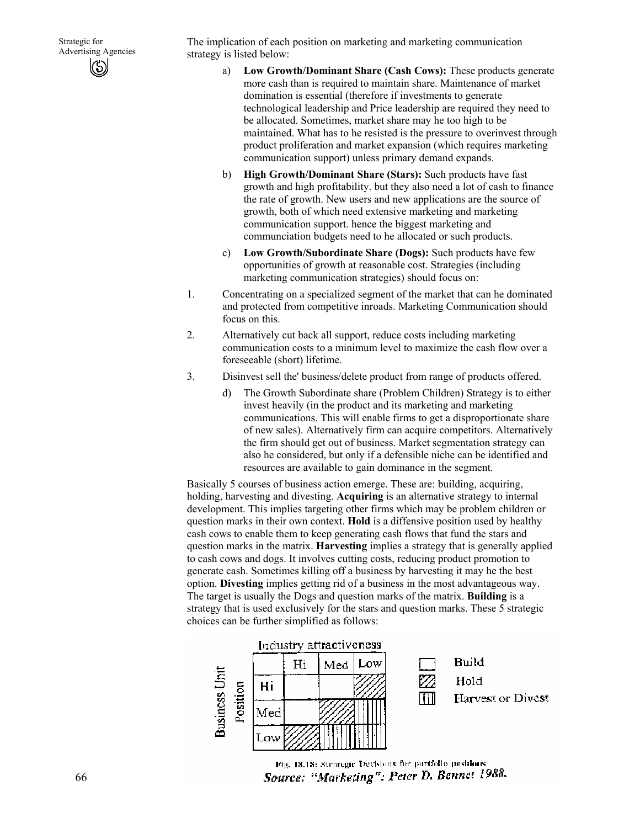The implication of each position on marketing and marketing communication strategy is listed below:

- a) **Low Growth/Dominant Share (Cash Cows):** These products generate more cash than is required to maintain share. Maintenance of market domination is essential (therefore if investments to generate technological leadership and Price leadership are required they need to be allocated. Sometimes, market share may he too high to be maintained. What has to he resisted is the pressure to overinvest through product proliferation and market expansion (which requires marketing communication support) unless primary demand expands.
- b) **High Growth/Dominant Share (Stars):** Such products have fast growth and high profitability. but they also need a lot of cash to finance the rate of growth. New users and new applications are the source of growth, both of which need extensive marketing and marketing communication support. hence the biggest marketing and communciation budgets need to he allocated or such products.
- c) **Low Growth/Subordinate Share (Dogs):** Such products have few opportunities of growth at reasonable cost. Strategies (including marketing communication strategies) should focus on:
- 1. Concentrating on a specialized segment of the market that can he dominated and protected from competitive inroads. Marketing Communication should focus on this.
- 2. Alternatively cut back all support, reduce costs including marketing communication costs to a minimum level to maximize the cash flow over a foreseeable (short) lifetime.
- 3. Disinvest sell the' business/delete product from range of products offered.
	- d) The Growth Subordinate share (Problem Children) Strategy is to either invest heavily (in the product and its marketing and marketing communications. This will enable firms to get a disproportionate share of new sales). Alternatively firm can acquire competitors. Alternatively the firm should get out of business. Market segmentation strategy can also he considered, but only if a defensible niche can be identified and resources are available to gain dominance in the segment.

Basically 5 courses of business action emerge. These are: building, acquiring, holding, harvesting and divesting. **Acquiring** is an alternative strategy to internal development. This implies targeting other firms which may be problem children or question marks in their own context. **Hold** is a diffensive position used by healthy cash cows to enable them to keep generating cash flows that fund the stars and question marks in the matrix. **Harvesting** implies a strategy that is generally applied to cash cows and dogs. It involves cutting costs, reducing product promotion to generate cash. Sometimes killing off a business by harvesting it may he the best option. **Divesting** implies getting rid of a business in the most advantageous way. The target is usually the Dogs and question marks of the matrix. **Building** is a strategy that is used exclusively for the stars and question marks. These 5 strategic choices can be further simplified as follows:



Fig. 18.18: Strategic Decisions for purtfolio positions Source: "Marketing": Peter D. Bennet 1988.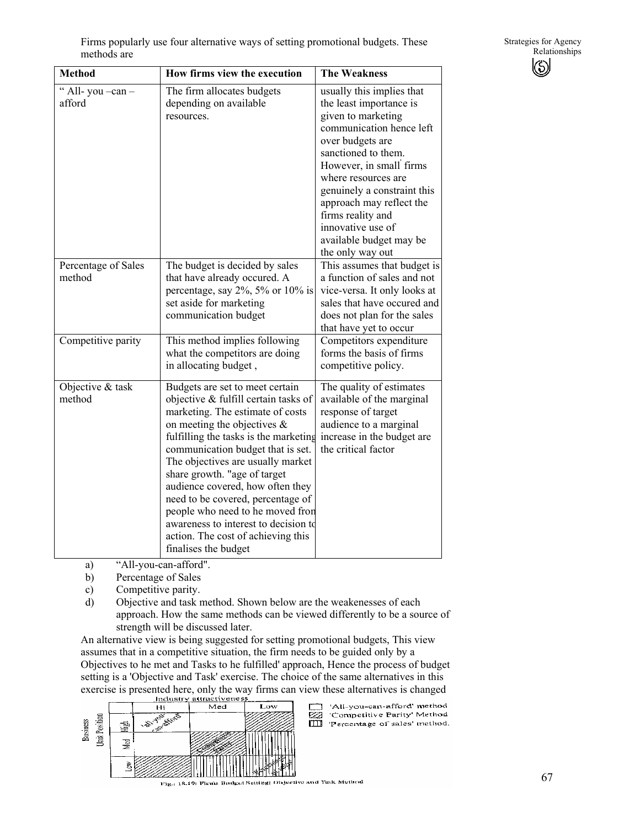| <b>Method</b>                 | How firms view the execution                                                                                                                                                                                                                                                                                                                                                                                                                                                                                        | <b>The Weakness</b>                                                                                                                                                                                                                                                                                                                                     |
|-------------------------------|---------------------------------------------------------------------------------------------------------------------------------------------------------------------------------------------------------------------------------------------------------------------------------------------------------------------------------------------------------------------------------------------------------------------------------------------------------------------------------------------------------------------|---------------------------------------------------------------------------------------------------------------------------------------------------------------------------------------------------------------------------------------------------------------------------------------------------------------------------------------------------------|
| " All-you -can -<br>afford    | The firm allocates budgets<br>depending on available<br>resources.                                                                                                                                                                                                                                                                                                                                                                                                                                                  | usually this implies that<br>the least importance is<br>given to marketing<br>communication hence left<br>over budgets are<br>sanctioned to them.<br>However, in small firms<br>where resources are<br>genuinely a constraint this<br>approach may reflect the<br>firms reality and<br>innovative use of<br>available budget may be<br>the only way out |
| Percentage of Sales<br>method | The budget is decided by sales<br>that have already occured. A<br>percentage, say $2\%$ , $5\%$ or $10\%$ is<br>set aside for marketing<br>communication budget                                                                                                                                                                                                                                                                                                                                                     | This assumes that budget is<br>a function of sales and not<br>vice-versa. It only looks at<br>sales that have occured and<br>does not plan for the sales<br>that have yet to occur                                                                                                                                                                      |
| Competitive parity            | This method implies following<br>what the competitors are doing<br>in allocating budget,                                                                                                                                                                                                                                                                                                                                                                                                                            | Competitors expenditure<br>forms the basis of firms<br>competitive policy.                                                                                                                                                                                                                                                                              |
| Objective & task<br>method    | Budgets are set to meet certain<br>objective & fulfill certain tasks of<br>marketing. The estimate of costs<br>on meeting the objectives $\&$<br>fulfilling the tasks is the marketing<br>communication budget that is set.<br>The objectives are usually market<br>share growth. "age of target<br>audience covered, how often they<br>need to be covered, percentage of<br>people who need to he moved fron<br>awareness to interest to decision to<br>action. The cost of achieving this<br>finalises the budget | The quality of estimates<br>available of the marginal<br>response of target<br>audience to a marginal<br>increase in the budget are<br>the critical factor                                                                                                                                                                                              |

a) "All-you-can-afford".

- b) Percentage of Sales
- c) Competitive parity.

d) Objective and task method. Shown below are the weakenesses of each approach. How the same methods can be viewed differently to be a source of strength will be discussed later.

An alternative view is being suggested for setting promotional budgets, This view assumes that in a competitive situation, the firm needs to be guided only by a Objectives to he met and Tasks to he fulfilled' approach, Hence the process of budget setting is a 'Objective and Task' exercise. The choice of the same alternatives in this exercise is presented here, only the way firms can view these alternatives is changed



'All-you-can-afford' method<br>'Competitive Parity' Method ea Percentage of sales' method.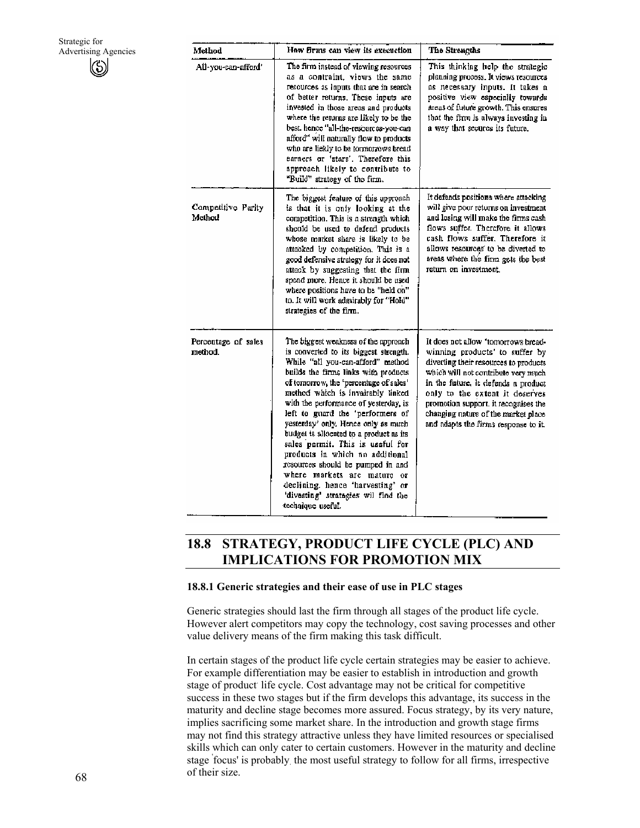| Method                         | How firms can view its execuction                                                                                                                                                                                                                                                                                                                                                                                                                                                                                                                                                                                                                   | The Strengths                                                                                                                                                                                                                                                                                                                                         |
|--------------------------------|-----------------------------------------------------------------------------------------------------------------------------------------------------------------------------------------------------------------------------------------------------------------------------------------------------------------------------------------------------------------------------------------------------------------------------------------------------------------------------------------------------------------------------------------------------------------------------------------------------------------------------------------------------|-------------------------------------------------------------------------------------------------------------------------------------------------------------------------------------------------------------------------------------------------------------------------------------------------------------------------------------------------------|
| All-you-can-afford'            | The firm instead of viewing resources<br>as a contraint, views the same<br>resources as inputs that are in search<br>of better returns. These inputs are<br>invested in those areas and products<br>where the returns are likely to be the<br>best, hence "all-the-resources-you-can<br>afford" will naturally flow to products<br>who are liekly to be tormorrows bread<br>earners or 'stars'. Therefore this<br>approach likely to contribute to<br>"Build" strategy of the firm.                                                                                                                                                                 | This thinking help the strategic<br>planning process. It views resources<br>as necessary inputs. It takes a<br>positive view especially towards<br>areas of future growth. This ensures<br>that the firm is always investing in<br>a way that secures its future.                                                                                     |
| Competitive Parity<br>Method   | The biggest feature of this approach<br>is that it is only looking at the<br>competition. This is a strength which<br>should be used to defend products<br>whose market share is likely to be<br>attacked by competition. This is a<br>good defensive strategy for it does not<br>attack by suggesting that the firm<br>spend more. Hence it should be used<br>where positions have to be "held on"<br>to. It will work admirably for "Hold"<br>strategies of the firm.                                                                                                                                                                             | It defends positions where attacking<br>will give poor returns on investment<br>and losing will make the firms cash<br>flows suffer. Therefore it allows<br>cash flows suffer. Therefore it<br>allows resources to be diverted to<br>areas where the firm gets the best<br>return on investment.                                                      |
| Percentage of sales<br>method. | The biggest weakness of the approach<br>is converted to its biggest strength.<br>While "all you-can-afford" method<br>builds the firms links with products<br>of tomorrow, the 'percentage of sales'<br>method which is invairably linked<br>with the performance of yesterday, is<br>left to guard the 'performers of<br>yesterday' only. Hence only as much<br>budget is allocated to a product as its<br>sales permit. This is useful for<br>products in which no additional<br>resources should be pumped in and<br>where markets are mature or<br>declining. hence 'harvesting' or<br>'divesting' strategies wil find the<br>technique useful. | It does not allow "tomorrows bread-<br>winning products' to suffer by<br>diverting their resources to products<br>which will not contribute very much<br>in the future, it defends a product<br>only to the extent it deserves<br>promotion support, it recognises the<br>changing nature of the market place<br>and adapts the firms response to it. |

# **18.8 STRATEGY, PRODUCT LIFE CYCLE (PLC) AND IMPLICATIONS FOR PROMOTION MIX**

### **18.8.1 Generic strategies and their ease of use in PLC stages**

Generic strategies should last the firm through all stages of the product life cycle. However alert competitors may copy the technology, cost saving processes and other value delivery means of the firm making this task difficult.

In certain stages of the product life cycle certain strategies may be easier to achieve. For example differentiation may be easier to establish in introduction and growth stage of product life cycle. Cost advantage may not be critical for competitive success in these two stages but if the firm develops this advantage, its success in the maturity and decline stage becomes more assured. Focus strategy, by its very nature, implies sacrificing some market share. In the introduction and growth stage firms may not find this strategy attractive unless they have limited resources or specialised skills which can only cater to certain customers. However in the maturity and decline stage ' focus' is probably. the most useful strategy to follow for all firms, irrespective of their size.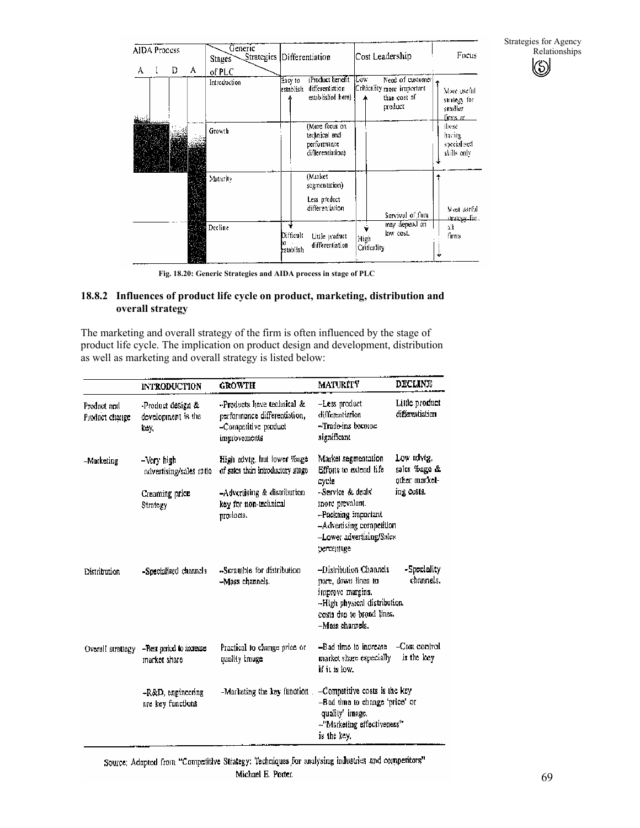Strategies for Agency Relationships  $\circledS$ 

|   | <b>AIDA Process</b> |   |   | Generic<br>Strategies<br>Stages |                        | Differentiation                                                    |                     | Cost Leadership                                                           | Focus                                              |
|---|---------------------|---|---|---------------------------------|------------------------|--------------------------------------------------------------------|---------------------|---------------------------------------------------------------------------|----------------------------------------------------|
| А | I                   | D | А | of PLC<br>Introduction          | Easy to<br>establish   | Product benefit<br>differentiation<br>established here)            | Low                 | Need of customer<br>Criticality more important<br>than cost of<br>product | More useful<br>strategy for<br>smaller<br>Linus ar |
|   |                     |   |   | Growth                          |                        | (More focus on<br>technical and<br>performance<br>differentiation) |                     |                                                                           | those<br>having<br>specialised<br>skills only      |
|   |                     |   |   | Maturity                        |                        | (Market<br>segmentation)<br>Less preduct<br>differentiation        |                     | Survival of firm                                                          | Most useful.<br>strategy for.                      |
|   |                     |   |   | Decline                         | Difficult<br>establish | Little product<br>differentiation                                  | High<br>Criticality | may depend on<br>low cost.                                                | all<br>firms                                       |

**Fig. 18.20: Generic Strategies and AIDA process in stage of PLC** 

# **18.8.2 Influences of product life cycle on product, marketing, distribution and overall strategy**

The marketing and overall strategy of the firm is often influenced by the stage of product life cycle. The implication on product design and development, distribution as well as marketing and overall strategy is listed below:

|                               | <b>INTRODUCTION</b>                                                 | <b>GROWTH</b>                                                                                                          | <b>MATURITY</b>                                                                                                                                   | <b>DECLINE</b>                                            |
|-------------------------------|---------------------------------------------------------------------|------------------------------------------------------------------------------------------------------------------------|---------------------------------------------------------------------------------------------------------------------------------------------------|-----------------------------------------------------------|
| Product and<br>Product change | -Product design &<br>development is the<br>key.                     | -Products have technical &<br>performance differentiation,<br>-Competitive product<br>improvements                     | -Less product<br>differentiation<br>-Trade-ins become<br>significant                                                                              | Little product<br>differentiation                         |
| -Marketing                    | —Very high<br>advertising/sales ratio<br>Creaming price<br>Strategy | High advtg, but lower %age<br>of sales than introductory stage<br>-Advertising & distribution<br>key for non-technical | Market segmentation<br>Efforts to extend life<br>cycle<br>-Service & deals'<br>inote prevalent.                                                   | Low advig.<br>sales Hage &<br>other market-<br>ing costs. |
|                               |                                                                     | producta.                                                                                                              | -Packaing important<br>-Advertising competition<br>-Lower advertising/Sales<br>percentage                                                         |                                                           |
| Distribution                  | -Specialised channels                                               | -Scramble for distribution<br>-Mass channels.                                                                          | -Distribution Channels<br>pare, down lines to<br>improve margins.<br>-High physical distribution.<br>costs due to broad lines.<br>-Mass channels. | -Speciality<br>channels.                                  |
| Overall strattegy             | -Best period to increase<br>market share                            | Practical to change price or<br>quality image                                                                          | -Bad time to increase<br>market share especially<br>if it is low.                                                                                 | $-Cos$ control<br>is the key                              |
|                               | -R&D, engineering<br>are key functions                              | -Marketing the key function.                                                                                           | -Compatitive costs is the key<br>-Bad time to change 'price' or<br>quality' image.<br>-"Marketing effectiveness"<br>is the key.                   |                                                           |

Source: Adapted from "Competitive Strategy: Techniques for analysing industries and competitors" Michael E. Porter.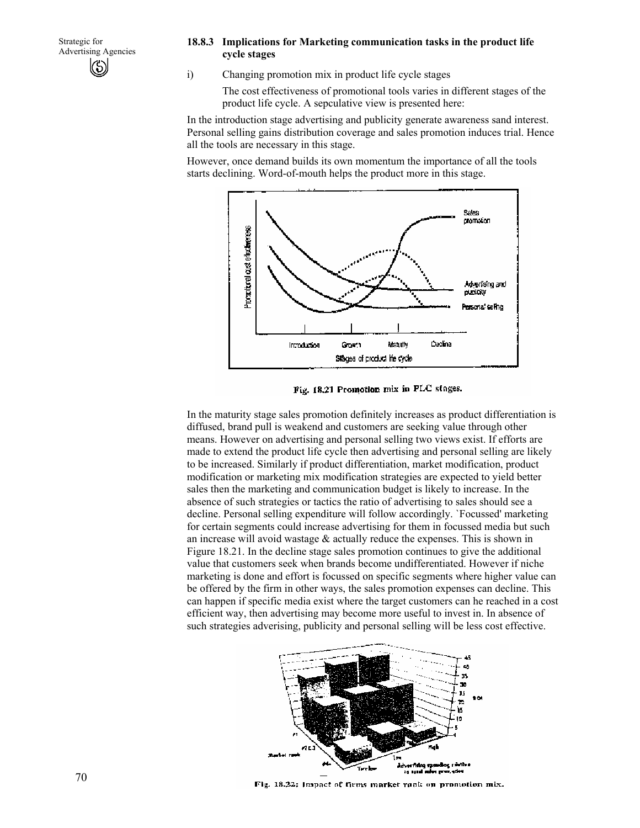#### **18.8.3 Implications for Marketing communication tasks in the product life cycle stages**

i) Changing promotion mix in product life cycle stages

The cost effectiveness of promotional tools varies in different stages of the product life cycle. A sepculative view is presented here:

In the introduction stage advertising and publicity generate awareness sand interest. Personal selling gains distribution coverage and sales promotion induces trial. Hence all the tools are necessary in this stage.

However, once demand builds its own momentum the importance of all the tools starts declining. Word-of-mouth helps the product more in this stage.



Fig. 18.21 Promotion mix in PLC stages.

In the maturity stage sales promotion definitely increases as product differentiation is diffused, brand pull is weakend and customers are seeking value through other means. However on advertising and personal selling two views exist. If efforts are made to extend the product life cycle then advertising and personal selling are likely to be increased. Similarly if product differentiation, market modification, product modification or marketing mix modification strategies are expected to yield better sales then the marketing and communication budget is likely to increase. In the absence of such strategies or tactics the ratio of advertising to sales should see a decline. Personal selling expenditure will follow accordingly. `Focussed' marketing for certain segments could increase advertising for them in focussed media but such an increase will avoid wastage & actually reduce the expenses. This is shown in Figure 18.21. In the decline stage sales promotion continues to give the additional value that customers seek when brands become undifferentiated. However if niche marketing is done and effort is focussed on specific segments where higher value can be offered by the firm in other ways, the sales promotion expenses can decline. This can happen if specific media exist where the target customers can he reached in a cost efficient way, then advertising may become more useful to invest in. In absence of such strategies adverising, publicity and personal selling will be less cost effective.



Fig. 18.22; Impact of firms market rank on promotion mix.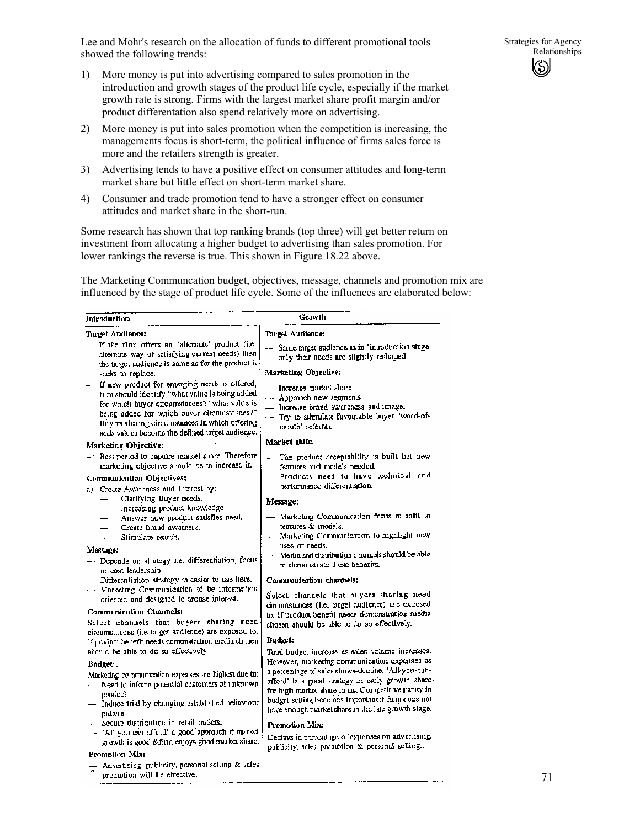Lee and Mohr's research on the allocation of funds to different promotional tools showed the following trends:

- 1) More money is put into advertising compared to sales promotion in the introduction and growth stages of the product life cycle, especially if the market growth rate is strong. Firms with the largest market share profit margin and/or product differentation also spend relatively more on advertising.
- 2) More money is put into sales promotion when the competition is increasing, the managements focus is short-term, the political influence of firms sales force is more and the retailers strength is greater.
- 3) Advertising tends to have a positive effect on consumer attitudes and long-term market share but little effect on short-term market share.
- 4) Consumer and trade promotion tend to have a stronger effect on consumer attitudes and market share in the short-run.

 $\frac{1}{2}$  . The state of  $\frac{1}{2}$ 

Some research has shown that top ranking brands (top three) will get better return on investment from allocating a higher budget to advertising than sales promotion. For lower rankings the reverse is true. This shown in Figure 18.22 above.

The Marketing Communcation budget, objectives, message, channels and promotion mix are influenced by the stage of product life cycle. Some of the influences are elaborated below:

 $C$  warm the

| тиродиспоп                                                                                                                                                                                                                                                                                            |                                                                                                                                                                  |
|-------------------------------------------------------------------------------------------------------------------------------------------------------------------------------------------------------------------------------------------------------------------------------------------------------|------------------------------------------------------------------------------------------------------------------------------------------------------------------|
| Target Audience:                                                                                                                                                                                                                                                                                      | Target Audience:                                                                                                                                                 |
| - If the firm offers an 'alternate' product (i.e.<br>alternate way of sotisfying current needs) then<br>the target audience is same as for the product it                                                                                                                                             | - Satne target audience as in 'introduction stage<br>only their needs are slightly reshaped.                                                                     |
| seeks to replace.                                                                                                                                                                                                                                                                                     | Marketing Objective:                                                                                                                                             |
| If now product for emerging needs is offered,<br>firm should identify "what value is being added<br>for which buyer circumstances?" what value is<br>being added for which buyer circumstances?"<br>Buyers sharing circumstances in which offering<br>adds values become the defined target audience. | - Increase market share<br>- Approach new segments<br>- Increase brand awareness and image.<br>- Try to stimulate favourable buyer 'word-of-<br>mouth' referral. |
| Marketing Objective:                                                                                                                                                                                                                                                                                  | Market shift:                                                                                                                                                    |
| - Best period to capture market share. Therefore<br>marketing objective should be to increase it.<br>Communication Objectives:                                                                                                                                                                        | - The product acceptability is built but new<br>features and models needed.<br>- Products need to have technical and                                             |
| a) Create Awareness and Interest by:<br>Clarifying Buyer needs.<br>--<br>Increasing product knowledge<br>$\overline{\phantom{0}}$                                                                                                                                                                     | performance differentiation.<br>Message:                                                                                                                         |
| Answer how product satisfies need.<br>--<br>Create brand awarness.<br>Stimulate search.<br>$\overline{\phantom{0}}$                                                                                                                                                                                   | - Marketing Communication focus to shift to<br>features & models.<br>- Marketing Communication to highlight new                                                  |
| Message:                                                                                                                                                                                                                                                                                              | uses or needs.<br>- Media and distribution channels should be able                                                                                               |
| --- Depends on strategy i.e. differentiation, focus<br>or cost leadership.                                                                                                                                                                                                                            | to demonstrate these benefits.                                                                                                                                   |
| - Differentiation strategy is easier to use here.<br>- Marketing Communication to be information<br>oriented and designed to arouse interest.                                                                                                                                                         | Communication channels:<br>Scleet channels that buyers sharing need<br>circumstances (i.e. target audicace) are exposed                                          |
| Communication Channels:<br>Select channels that buyers sharing need<br>circumstances (i.e target audience) are exposed to.                                                                                                                                                                            | to. If product benefit needs demonstration media<br>chosen should be able to do so effectively.                                                                  |
| If product benefit needs demonstration media chosen                                                                                                                                                                                                                                                   | <b>Budget:</b>                                                                                                                                                   |
| should be able to do so effectively.                                                                                                                                                                                                                                                                  | Total budget increase as sales volume increases.                                                                                                                 |
| Budget:                                                                                                                                                                                                                                                                                               | However, marketing communication expenses as-                                                                                                                    |
| Marketing communication expenses are highest due to:<br>- Need to inform potential customers of unknown<br>product                                                                                                                                                                                    | a percentage of sales shows-decline. 'All-you-can-<br>afford' is a good strategy in early growth share-<br>for high market share firms. Competitive parity in    |
| - Induce trial by changing established behaviour<br>pattern.                                                                                                                                                                                                                                          | budget setting becomes important if firm does not<br>have enough market share in the late growth stage.                                                          |
| - Secure distribution in retail outlets.                                                                                                                                                                                                                                                              | Promotion Mix:                                                                                                                                                   |
| - 'All you can afford' a good approach if market<br>growth is good &firm enjoys good market share.                                                                                                                                                                                                    | Decline in percentage of expenses on advertising.<br>publicity, sales promotion & personal selling.                                                              |
| Promotion Mix:                                                                                                                                                                                                                                                                                        |                                                                                                                                                                  |
| Advertising, publicity, personal selling & sales<br>promotion will be effective,                                                                                                                                                                                                                      |                                                                                                                                                                  |

71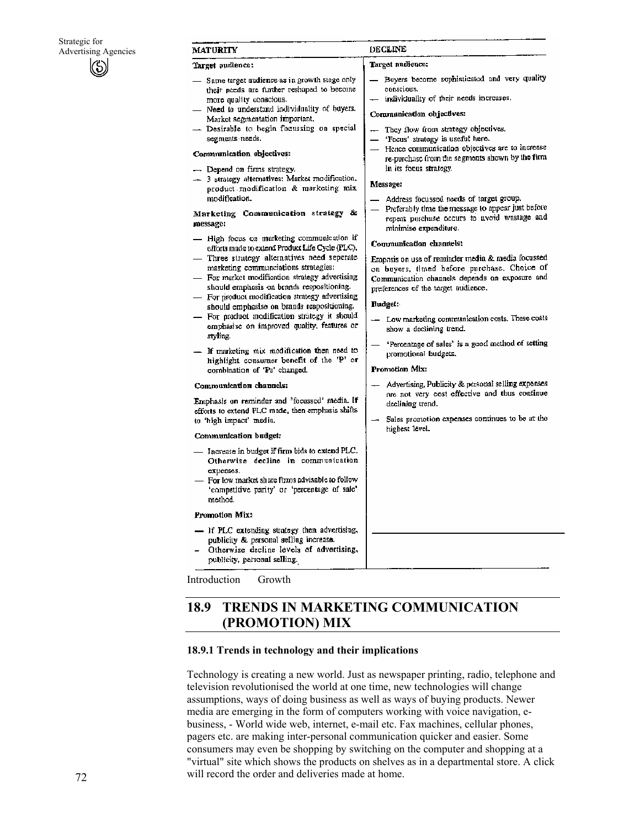| <b>MATURITY</b> |  |
|-----------------|--|

#### Target audience:

- Same target audience as in growth stage only their needs are further reshaped to become more quality conscious.
- Need to understand individuality of buyers. Market segmentation important.
- Desirable to begin focussing on special segments needs.

#### Communication objectives:

- Depend on firms strategy.
- 3 strategy alternatives: Market modification. product modification & marketing mix modification.

Marketing Communication strategy & message:

- High focus on marketing communication if efforts made to extend Product Life Cycle (PLC). - Three strategy alternatives need seperate
- marketing communciations strategies:
- For market modification strategy advertising should emphasis on brands respositioning.
- For product modification strategy advertising should emphasise on brands respositioning.
- For product modification strategy it should emphasise on improved quality, features or styling.
- If marketing mix modification then need to highlight consumer benefit of the 'P' or combination of 'Ps' changed.

#### Communication channels:

Emphasis on reminder and 'focussed' media. If efforts to extend PLC made, then emphasis shifts to 'high impact' media.

#### Communication budget:

- Increase in budget if firm bids to extend PLC. Otherwise decline in communication expenses.
- For low market share firms advisable to follow 'competitive parity' or 'percentage of sale' method.

#### Promotion Mix:

- If PLC extending strategy then advertising, publicity & personal selling increase. Otherwise decline levels of advertising,
- publicity, personal selling.

Introduction Growth

# DECLINE

#### Target audience:

- Buyers become sophisticated and very quality conscious.
- individuality of their needs increases.

#### Communication objectives:

- They flow from strategy objectives.
- 'Focus' stratogy is useful here.
- Hence communication objectives are to increase re-purchase from the segments shown by the firm in its focus strategy.

#### Message:

- Address focussed needs of target group.
- Preferably time the message to appear just before repeat purchase occurs to avoid wastage and minimise expenditure.

#### Communication changels:

Empasis on use of reminder media & media focussed on buyers, timed before purchase. Choice of Communication channels depends on exposure and preferences of the target audience.

#### **Rudget:**

- Low marketing communication costs. These costs show a declining trend.
- 'Percentage of sales' is a good method of setting promotional budgets.

#### Promotion Mix:

- Advertising, Publicity & personal selling expenses are not very cost effective and thus continue declining trend.
- Sales promotion expenses continues to be at the highest level.

# **18.9 TRENDS IN MARKETING COMMUNICATION (PROMOTION) MIX**

#### **18.9.1 Trends in technology and their implications**

Technology is creating a new world. Just as newspaper printing, radio, telephone and television revolutionised the world at one time, new technologies will change assumptions, ways of doing business as well as ways of buying products. Newer media are emerging in the form of computers working with voice navigation, ebusiness, - World wide web, internet, e-mail etc. Fax machines, cellular phones, pagers etc. are making inter-personal communication quicker and easier. Some consumers may even be shopping by switching on the computer and shopping at a "virtual" site which shows the products on shelves as in a departmental store. A click will record the order and deliveries made at home.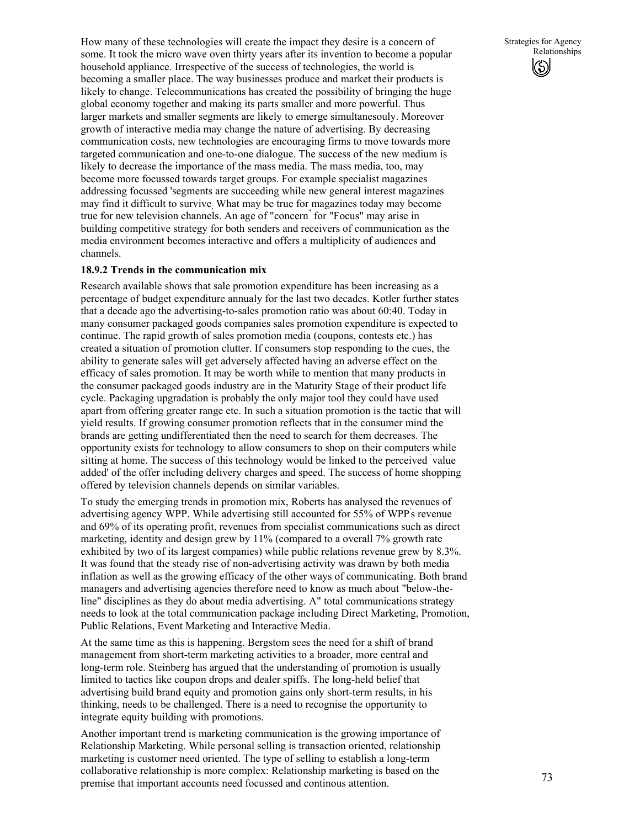How many of these technologies will create the impact they desire is a concern of some. It took the micro wave oven thirty years after its invention to become a popular household appliance. Irrespective of the success of technologies, the world is becoming a smaller place. The way businesses produce and market their products is likely to change. Telecommunications has created the possibility of bringing the huge global economy together and making its parts smaller and more powerful. Thus larger markets and smaller segments are likely to emerge simultanesouly. Moreover growth of interactive media may change the nature of advertising. By decreasing communication costs, new technologies are encouraging firms to move towards more targeted communication and one-to-one dialogue. The success of the new medium is likely to decrease the importance of the mass media. The mass media, too, may become more focussed towards target groups. For example specialist magazines addressing focussed 'segments are succeeding while new general interest magazines may find it difficult to survive; What may be true for magazines today may become true for new television channels. An age of "concern" for "Focus" may arise in building competitive strategy for both senders and receivers of communication as the media environment becomes interactive and offers a multiplicity of audiences and channels.

### **18.9.2 Trends in the communication mix**

Research available shows that sale promotion expenditure has been increasing as a percentage of budget expenditure annualy for the last two decades. Kotler further states that a decade ago the advertising-to-sales promotion ratio was about 60:40. Today in many consumer packaged goods companies sales promotion expenditure is expected to continue. The rapid growth of sales promotion media (coupons, contests etc.) has created a situation of promotion clutter. If consumers stop responding to the cues, the ability to generate sales will get adversely affected having an adverse effect on the efficacy of sales promotion. It may be worth while to mention that many products in the consumer packaged goods industry are in the Maturity Stage of their product life cycle. Packaging upgradation is probably the only major tool they could have used apart from offering greater range etc. In such a situation promotion is the tactic that will yield results. If growing consumer promotion reflects that in the consumer mind the brands are getting undifferentiated then the need to search for them decreases. The opportunity exists for technology to allow consumers to shop on their computers while sitting at home. The success of this technology would be linked to the perceived value added' of the offer including delivery charges and speed. The success of home shopping offered by television channels depends on similar variables.

To study the emerging trends in promotion mix, Roberts has analysed the revenues of advertising agency WPP. While advertising still accounted for 55% of WPP' s revenue and 69% of its operating profit, revenues from specialist communications such as direct marketing, identity and design grew by 11% (compared to a overall 7% growth rate exhibited by two of its largest companies) while public relations revenue grew by 8.3%. It was found that the steady rise of non-advertising activity was drawn by both media inflation as well as the growing efficacy of the other ways of communicating. Both brand managers and advertising agencies therefore need to know as much about "below-theline" disciplines as they do about media advertising. A" total communications strategy needs to look at the total communication package including Direct Marketing, Promotion, Public Relations, Event Marketing and Interactive Media.

At the same time as this is happening. Bergstom sees the need for a shift of brand management from short-term marketing activities to a broader, more central and long-term role. Steinberg has argued that the understanding of promotion is usually limited to tactics like coupon drops and dealer spiffs. The long-held belief that advertising build brand equity and promotion gains only short-term results, in his thinking, needs to be challenged. There is a need to recognise the opportunity to integrate equity building with promotions.

Another important trend is marketing communication is the growing importance of Relationship Marketing. While personal selling is transaction oriented, relationship marketing is customer need oriented. The type of selling to establish a long-term collaborative relationship is more complex: Relationship marketing is based on the premise that important accounts need focussed and continous attention.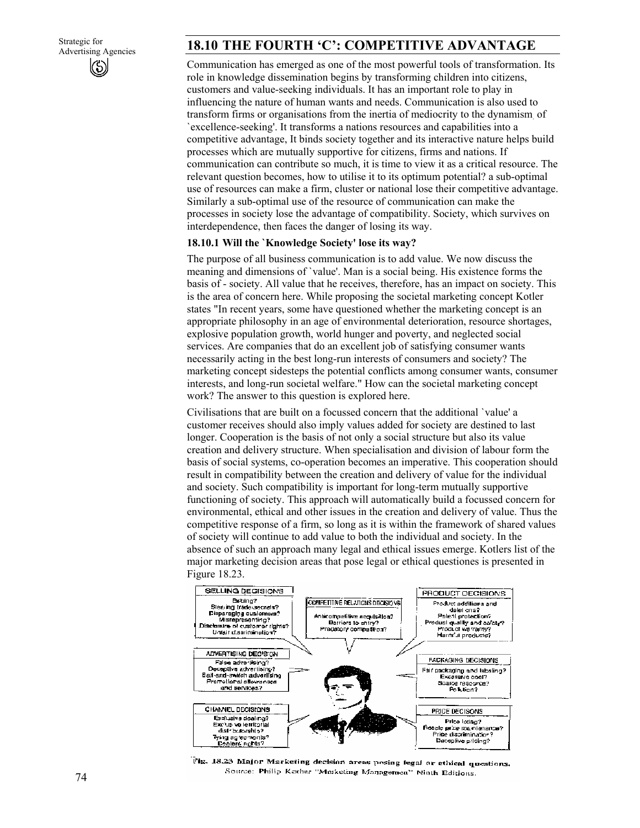# 18.10 THE FOURTH 'C': COMPETITIVE ADVANTAGE

Communication has emerged as one of the most powerful tools of transformation. Its role in knowledge dissemination begins by transforming children into citizens, customers and value-seeking individuals. It has an important role to play in influencing the nature of human wants and needs. Communication is also used to transform firms or organisations from the inertia of mediocrity to the dynamism. of `excellence-seeking'. It transforms a nations resources and capabilities into a competitive advantage, It binds society together and its interactive nature helps build processes which are mutually supportive for citizens, firms and nations. If communication can contribute so much, it is time to view it as a critical resource. The relevant question becomes, how to utilise it to its optimum potential? a sub-optimal use of resources can make a firm, cluster or national lose their competitive advantage. Similarly a sub-optimal use of the resource of communication can make the processes in society lose the advantage of compatibility. Society, which survives on interdependence, then faces the danger of losing its way.

### **18.10.1 Will the `Knowledge Society' lose its way?**

The purpose of all business communication is to add value. We now discuss the meaning and dimensions of `value'. Man is a social being. His existence forms the basis of - society. All value that he receives, therefore, has an impact on society. This is the area of concern here. While proposing the societal marketing concept Kotler states "In recent years, some have questioned whether the marketing concept is an appropriate philosophy in an age of environmental deterioration, resource shortages, explosive population growth, world hunger and poverty, and neglected social services. Are companies that do an excellent job of satisfying consumer wants necessarily acting in the best long-run interests of consumers and society? The marketing concept sidesteps the potential conflicts among consumer wants, consumer interests, and long-run societal welfare." How can the societal marketing concept work? The answer to this question is explored here.

Civilisations that are built on a focussed concern that the additional `value' a customer receives should also imply values added for society are destined to last longer. Cooperation is the basis of not only a social structure but also its value creation and delivery structure. When specialisation and division of labour form the basis of social systems, co-operation becomes an imperative. This cooperation should result in compatibility between the creation and delivery of value for the individual and society. Such compatibility is important for long-term mutually supportive functioning of society. This approach will automatically build a focussed concern for environmental, ethical and other issues in the creation and delivery of value. Thus the competitive response of a firm, so long as it is within the framework of shared values of society will continue to add value to both the individual and society. In the absence of such an approach many legal and ethical issues emerge. Kotlers list of the major marketing decision areas that pose legal or ethical questiones is presented in Figure 18.23.



Fig. 18.23 Major Marketing decision areas posing legal or ethical questions. Source: Philip Kother "Murketing Managemen" Ninth Editions.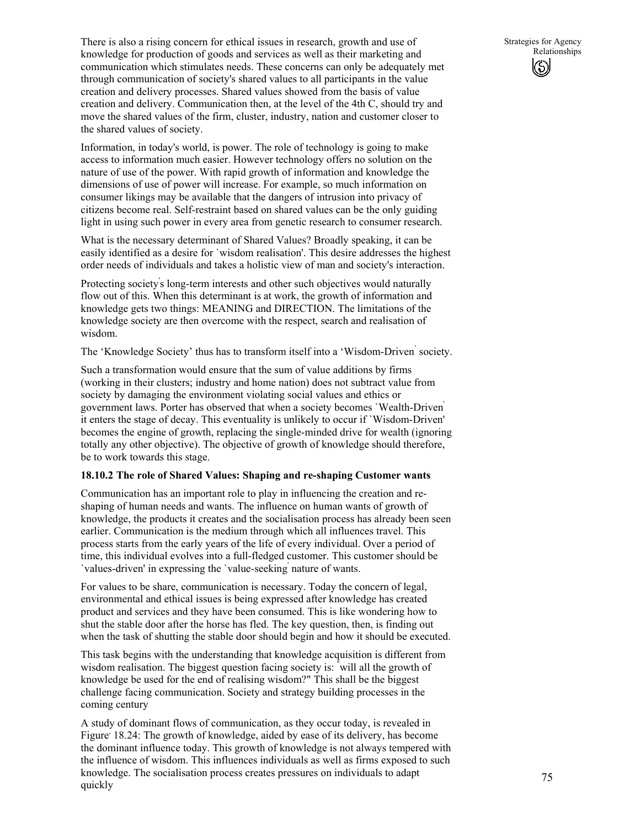There is also a rising concern for ethical issues in research, growth and use of knowledge for production of goods and services as well as their marketing and communication which stimulates needs. These concerns can only be adequately met through communication of society's shared values to all participants in the value creation and delivery processes. Shared values showed from the basis of value creation and delivery. Communication then, at the level of the 4th C, should try and move the shared values of the firm, cluster, industry, nation and customer closer to the shared values of society.

Information, in today's world, is power. The role of technology is going to make access to information much easier. However technology offers no solution on the nature of use of the power. With rapid growth of information and knowledge the dimensions of use of power will increase. For example, so much information on consumer likings may be available that the dangers of intrusion into privacy of citizens become real. Self-restraint based on shared values can be the only guiding light in using such power in every area from genetic research to consumer research.

What is the necessary determinant of Shared Values? Broadly speaking, it can be easily identified as a desire for `wisdom realisation'. This desire addresses the highest order needs of individuals and takes a holistic view of man and society's interaction.

Protecting society' s long-term interests and other such objectives would naturally flow out of this. When this determinant is at work, the growth of information and knowledge gets two things: MEANING and DIRECTION. The limitations of the knowledge society are then overcome with the respect, search and realisation of wisdom.

The 'Knowledge Society' thus has to transform itself into a 'Wisdom-Driven' society.

Such a transformation would ensure that the sum of value additions by firms (working in their clusters; industry and home nation) does not subtract value from society by damaging the environment violating social values and ethics or government laws. Porter has observed that when a society becomes `Wealth-Driven' it enters the stage of decay. This eventuality is unlikely to occur if `Wisdom-Driven' becomes the engine of growth, replacing the single-minded drive for wealth (ignoring totally any other objective). The objective of growth of knowledge should therefore, be to work towards this stage.

#### **18.10.2 The role of Shared Values: Shaping and re-shaping Customer wants**

Communication has an important role to play in influencing the creation and reshaping of human needs and wants. The influence on human wants of growth of knowledge, the products it creates and the socialisation process has already been seen earlier. Communication is the medium through which all influences travel. This process starts from the early years of the life of every individual. Over a period of time, this individual evolves into a full-fledged customer. This customer should be `values-driven' in expressing the `value-seeking' nature of wants.

For values to be share, communication is necessary. Today the concern of legal, environmental and ethical issues is being expressed after knowledge has created product and services and they have been consumed. This is like wondering how to shut the stable door after the horse has fled. The key question, then, is finding out when the task of shutting the stable door should begin and how it should be executed.

This task begins with the understanding that knowledge acquisition is different from wisdom realisation. The biggest question facing society is: " will all the growth of knowledge be used for the end of realising wisdom?" This shall be the biggest challenge facing communication. Society and strategy building processes in the coming century

A study of dominant flows of communication, as they occur today, is revealed in Figure' 18.24: The growth of knowledge, aided by ease of its delivery, has become the dominant influence today. This growth of knowledge is not always tempered with the influence of wisdom. This influences individuals as well as firms exposed to such knowledge. The socialisation process creates pressures on individuals to adapt quickly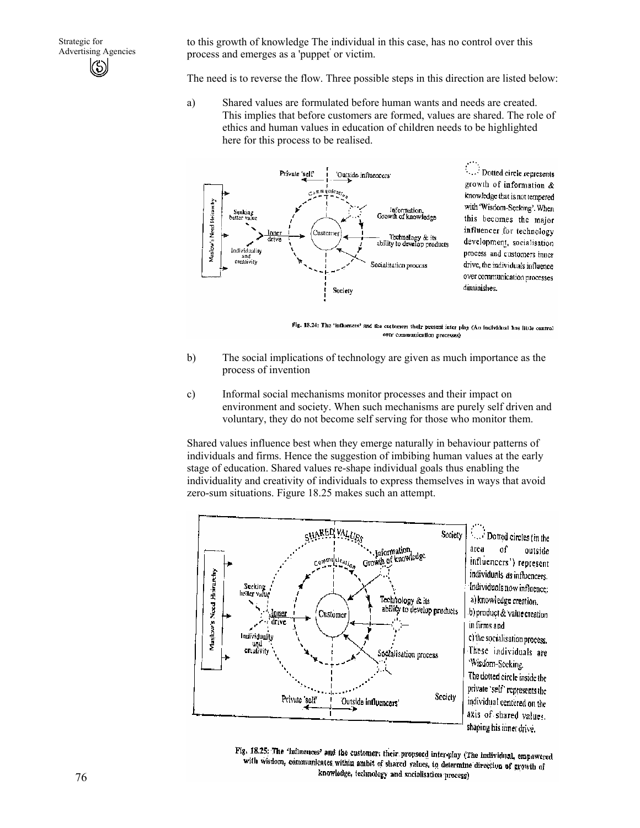to this growth of knowledge The individual in this case, has no control over this process and emerges as a 'puppet' or victim.

The need is to reverse the flow. Three possible steps in this direction are listed below:

a) Shared values are formulated before human wants and needs are created. This implies that before customers are formed, values are shared. The role of ethics and human values in education of children needs to be highlighted here for this process to be realised.



Dotted circle represents growth of information & knowledge that is not tempered with 'Wisdom-Seeking'. When this becomes the major influencer for technology development, socialisation process and customers inner drive, the individuals influence over communication processes diminishes.

Fig. 18.24: The 'lafluences' and the customer: their present inter play (An individual has little control over communication processes)

- b) The social implications of technology are given as much importance as the process of invention
- c) Informal social mechanisms monitor processes and their impact on environment and society. When such mechanisms are purely self driven and voluntary, they do not become self serving for those who monitor them.

Shared values influence best when they emerge naturally in behaviour patterns of individuals and firms. Hence the suggestion of imbibing human values at the early stage of education. Shared values re-shape individual goals thus enabling the individuality and creativity of individuals to express themselves in ways that avoid zero-sum situations. Figure 18.25 makes such an attempt.



Fig. 18.25: The 'influences' and the customer: their propsoed inter-play (The individual, empowered with wisdom, communicates within ambit of shared values, to determine direction of growth of knowledge, technology and socialisation process)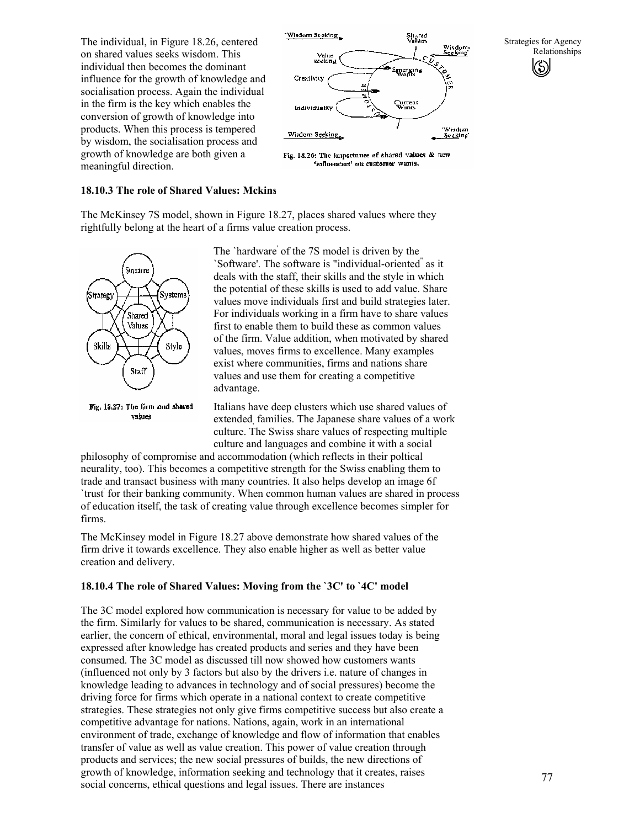The individual, in Figure 18.26, centered on shared values seeks wisdom. This individual then becomes the dominant influence for the growth of knowledge and socialisation process. Again the individual in the firm is the key which enables the conversion of growth of knowledge into products. When this process is tempered by wisdom, the socialisation process and growth of knowledge are both given a meaningful direction.



Strategies for Agency Relationships

#### **18.10.3 The role of Shared Values: Mckins**

The McKinsey 7S model, shown in Figure 18.27, places shared values where they rightfully belong at the heart of a firms value creation process.



The `hardware' of the 7S model is driven by the `Software'. The software is "individual-oriented" as it deals with the staff, their skills and the style in which the potential of these skills is used to add value. Share values move individuals first and build strategies later. For individuals working in a firm have to share values first to enable them to build these as common values of the firm. Value addition, when motivated by shared values, moves firms to excellence. Many examples exist where communities, firms and nations share values and use them for creating a competitive advantage.

Italians have deep clusters which use shared values of extended, families. The Japanese share values of a work culture. The Swiss share values of respecting multiple culture and languages and combine it with a social

philosophy of compromise and accommodation (which reflects in their poltical neurality, too). This becomes a competitive strength for the Swiss enabling them to trade and transact business with many countries. It also helps develop an image 6f `trust' for their banking community. When common human values are shared in process of education itself, the task of creating value through excellence becomes simpler for firms.

The McKinsey model in Figure 18.27 above demonstrate how shared values of the firm drive it towards excellence. They also enable higher as well as better value creation and delivery.

### **18.10.4 The role of Shared Values: Moving from the `3C' to `4C' model**

The 3C model explored how communication is necessary for value to be added by the firm. Similarly for values to be shared, communication is necessary. As stated earlier, the concern of ethical, environmental, moral and legal issues today is being expressed after knowledge has created products and series and they have been consumed. The 3C model as discussed till now showed how customers wants (influenced not only by 3 factors but also by the drivers i.e. nature of changes in knowledge leading to advances in technology and of social pressures) become the driving force for firms which operate in a national context to create competitive strategies. These strategies not only give firms competitive success but also create a competitive advantage for nations. Nations, again, work in an international environment of trade, exchange of knowledge and flow of information that enables transfer of value as well as value creation. This power of value creation through products and services; the new social pressures of builds, the new directions of growth of knowledge, information seeking and technology that it creates, raises social concerns, ethical questions and legal issues. There are instances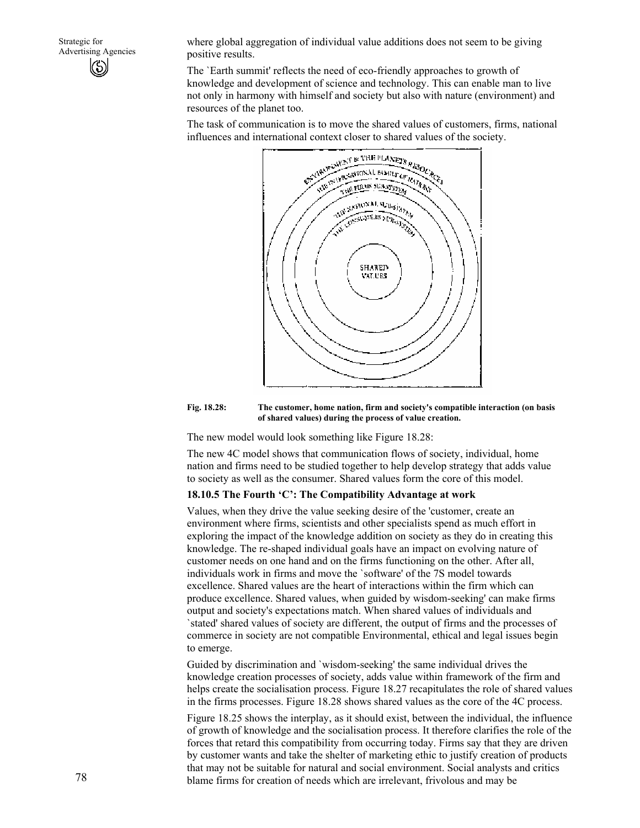Strategic for Advertising Agencies KS)

where global aggregation of individual value additions does not seem to be giving positive results.

The `Earth summit' reflects the need of eco-friendly approaches to growth of knowledge and development of science and technology. This can enable man to live not only in harmony with himself and society but also with nature (environment) and resources of the planet too.

The task of communication is to move the shared values of customers, firms, national influences and international context closer to shared values of the society.



#### **Fig. 18.28: The customer, home nation, firm and society's compatible interaction (on basis of shared values) during the process of value creation.**

The new model would look something like Figure 18.28:

The new 4C model shows that communication flows of society, individual, home nation and firms need to be studied together to help develop strategy that adds value to society as well as the consumer. Shared values form the core of this model.

### **18.10.5 The Fourth 'C': The Compatibility Advantage at work**

Values, when they drive the value seeking desire of the 'customer, create an environment where firms, scientists and other specialists spend as much effort in exploring the impact of the knowledge addition on society as they do in creating this knowledge. The re-shaped individual goals have an impact on evolving nature of customer needs on one hand and on the firms functioning on the other. After all, individuals work in firms and move the `software' of the 7S model towards excellence. Shared values are the heart of interactions within the firm which can produce excellence. Shared values, when guided by wisdom-seeking' can make firms output and society's expectations match. When shared values of individuals and `stated' shared values of society are different, the output of firms and the processes of commerce in society are not compatible Environmental, ethical and legal issues begin to emerge.

Guided by discrimination and `wisdom-seeking' the same individual drives the knowledge creation processes of society, adds value within framework of the firm and helps create the socialisation process. Figure 18.27 recapitulates the role of shared values in the firms processes. Figure 18.28 shows shared values as the core of the 4C process.

Figure 18.25 shows the interplay, as it should exist, between the individual, the influence of growth of knowledge and the socialisation process. It therefore clarifies the role of the forces that retard this compatibility from occurring today. Firms say that they are driven by customer wants and take the shelter of marketing ethic to justify creation of products that may not be suitable for natural and social environment. Social analysts and critics blame firms for creation of needs which are irrelevant, frivolous and may be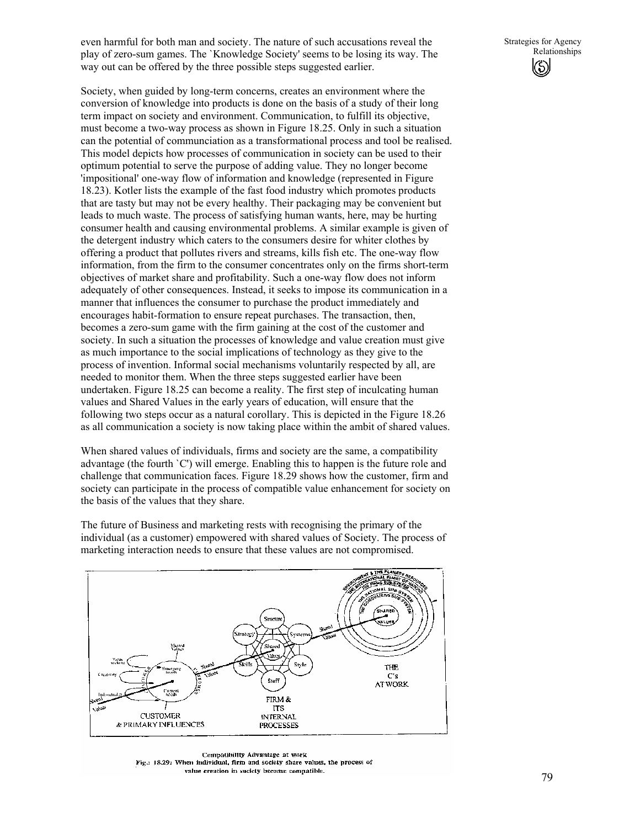even harmful for both man and society. The nature of such accusations reveal the play of zero-sum games. The `Knowledge Society' seems to be losing its way. The way out can be offered by the three possible steps suggested earlier.

Society, when guided by long-term concerns, creates an environment where the conversion of knowledge into products is done on the basis of a study of their long term impact on society and environment. Communication, to fulfill its objective, must become a two-way process as shown in Figure 18.25. Only in such a situation can the potential of communciation as a transformational process and tool be realised. This model depicts how processes of communication in society can be used to their optimum potential to serve the purpose of adding value. They no longer become 'impositional' one-way flow of information and knowledge (represented in Figure 18.23). Kotler lists the example of the fast food industry which promotes products that are tasty but may not be every healthy. Their packaging may be convenient but leads to much waste. The process of satisfying human wants, here, may be hurting consumer health and causing environmental problems. A similar example is given of the detergent industry which caters to the consumers desire for whiter clothes by offering a product that pollutes rivers and streams, kills fish etc. The one-way flow information, from the firm to the consumer concentrates only on the firms short-term objectives of market share and profitability. Such a one-way flow does not inform adequately of other consequences. Instead, it seeks to impose its communication in a manner that influences the consumer to purchase the product immediately and encourages habit-formation to ensure repeat purchases. The transaction, then, becomes a zero-sum game with the firm gaining at the cost of the customer and society. In such a situation the processes of knowledge and value creation must give as much importance to the social implications of technology as they give to the process of invention. Informal social mechanisms voluntarily respected by all, are needed to monitor them. When the three steps suggested earlier have been undertaken. Figure 18.25 can become a reality. The first step of inculcating human values and Shared Values in the early years of education, will ensure that the

following two steps occur as a natural corollary. This is depicted in the Figure 18.26 as all communication a society is now taking place within the ambit of shared values.

When shared values of individuals, firms and society are the same, a compatibility advantage (the fourth `C') will emerge. Enabling this to happen is the future role and challenge that communication faces. Figure 18.29 shows how the customer, firm and society can participate in the process of compatible value enhancement for society on the basis of the values that they share.

The future of Business and marketing rests with recognising the primary of the individual (as a customer) empowered with shared values of Society. The process of marketing interaction needs to ensure that these values are not compromised.



Compatibility Advantage at work Fig.: 18.29: When individual, firm and society share values, the process of value creation in society become commatible.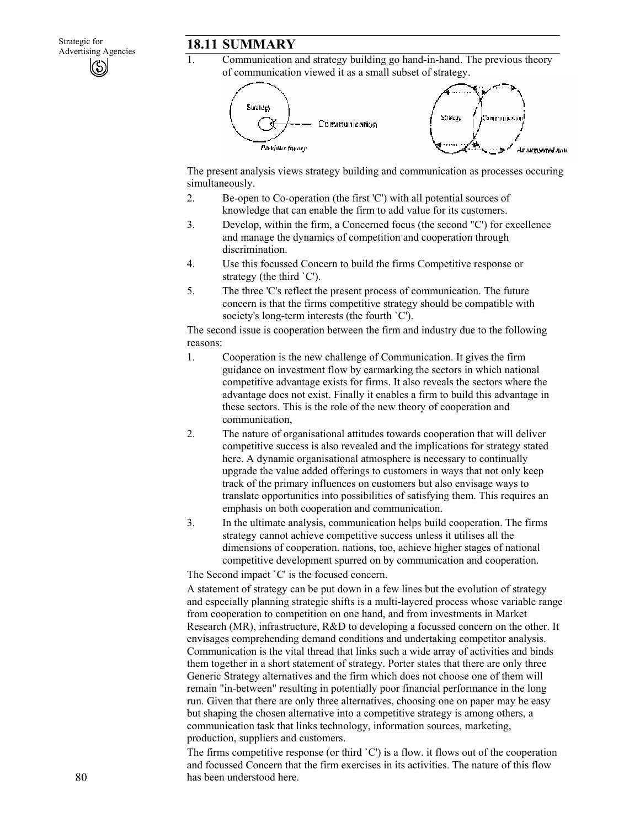Communication and strategy building go hand-in-hand. The previous theory of communication viewed it as a small subset of strategy.



The present analysis views strategy building and communication as processes occuring simultaneously.

- 2. Be-open to Co-operation (the first 'C') with all potential sources of knowledge that can enable the firm to add value for its customers.
- 3. Develop, within the firm, a Concerned focus (the second "C') for excellence and manage the dynamics of competition and cooperation through discrimination.
- 4. Use this focussed Concern to build the firms Competitive response or strategy (the third `C').
- 5. The three 'C's reflect the present process of communication. The future concern is that the firms competitive strategy should be compatible with society's long-term interests (the fourth `C').

The second issue is cooperation between the firm and industry due to the following reasons:

- 1. Cooperation is the new challenge of Communication. It gives the firm guidance on investment flow by earmarking the sectors in which national competitive advantage exists for firms. It also reveals the sectors where the advantage does not exist. Finally it enables a firm to build this advantage in these sectors. This is the role of the new theory of cooperation and communication,
- 2. The nature of organisational attitudes towards cooperation that will deliver competitive success is also revealed and the implications for strategy stated here. A dynamic organisational atmosphere is necessary to continually upgrade the value added offerings to customers in ways that not only keep track of the primary influences on customers but also envisage ways to translate opportunities into possibilities of satisfying them. This requires an emphasis on both cooperation and communication.
- 3. In the ultimate analysis, communication helps build cooperation. The firms strategy cannot achieve competitive success unless it utilises all the dimensions of cooperation. nations, too, achieve higher stages of national competitive development spurred on by communication and cooperation.

The Second impact `C' is the focused concern.

A statement of strategy can be put down in a few lines but the evolution of strategy and especially planning strategic shifts is a multi-layered process whose variable range from cooperation to competition on one hand, and from investments in Market Research (MR), infrastructure, R&D to developing a focussed concern on the other. It envisages comprehending demand conditions and undertaking competitor analysis. Communication is the vital thread that links such a wide array of activities and binds them together in a short statement of strategy. Porter states that there are only three Generic Strategy alternatives and the firm which does not choose one of them will remain "in-between" resulting in potentially poor financial performance in the long run. Given that there are only three alternatives, choosing one on paper may be easy but shaping the chosen alternative into a competitive strategy is among others, a communication task that links technology, information sources, marketing, production, suppliers and customers.

The firms competitive response (or third `C') is a flow. it flows out of the cooperation and focussed Concern that the firm exercises in its activities. The nature of this flow has been understood here.